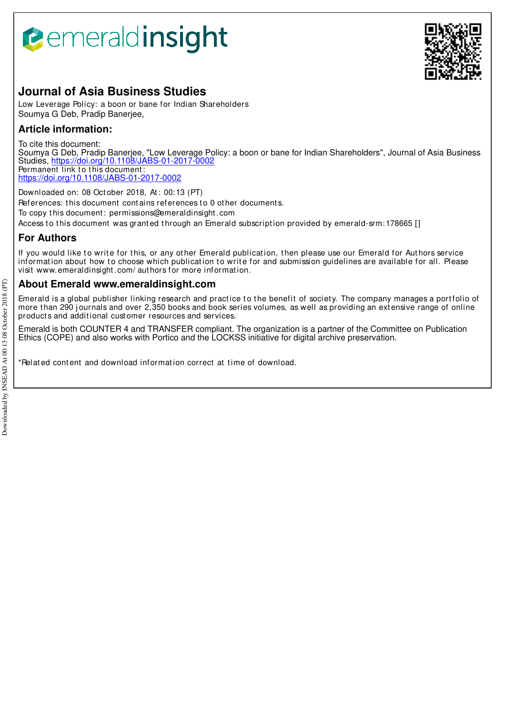# **B**emeraldinsight



# **Journal of Asia Business Studies**

Low Leverage Policy: a boon or bane for Indian Shareholders Soumya G Deb, Pradip Banerjee,

# **Article information:**

To cite this document: Soumya G Deb, Pradip Banerjee, "Low Leverage Policy: a boon or bane for Indian Shareholders", Journal of Asia Business Studies, https://doi.org/10.1108/JABS-01-2017-0002 Permanent link to this document:

https://doi.org/10.1108/JABS-01-2017-0002

Downloaded on: 08 Oct ober 2018, At : 00:13 (PT)

References: this document contains references to 0 other documents.

To copy t his document : permissions@emeraldinsight .com

Access to this document was granted through an Emerald subscription provided by emerald-srm: 178665 []

# **For Authors**

If you would like to write for this, or any other Emerald publication, then please use our Emerald for Authors service information about how to choose which publication to write for and submission guidelines are available for all. Please visit www.emeraldinsight .com/ aut hors for more informat ion.

# **About Emerald www.emeraldinsight.com**

Emerald is a global publisher linking research and practice to the benefit of society. The company manages a portfolio of more than 290 journals and over 2,350 books and book series volumes, as well as providing an extensive range of online products and additional customer resources and services.

Emerald is both COUNTER 4 and TRANSFER compliant. The organization is a partner of the Committee on Publication Ethics (COPE) and also works with Portico and the LOCKSS initiative for digital archive preservation.

\*Relat ed cont ent and download informat ion correct at t ime of download.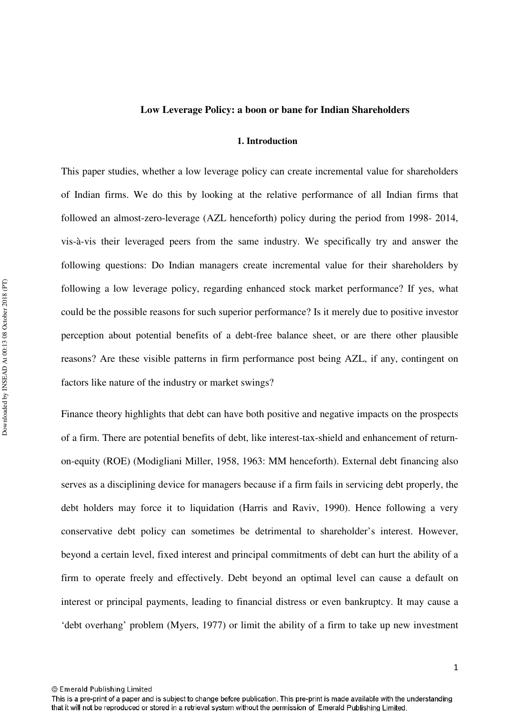#### **Low Leverage Policy: a boon or bane for Indian Shareholders**

#### **1. Introduction**

This paper studies, whether a low leverage policy can create incremental value for shareholders of Indian firms. We do this by looking at the relative performance of all Indian firms that followed an almost-zero-leverage (AZL henceforth) policy during the period from 1998- 2014, vis-à-vis their leveraged peers from the same industry. We specifically try and answer the following questions: Do Indian managers create incremental value for their shareholders by following a low leverage policy, regarding enhanced stock market performance? If yes, what could be the possible reasons for such superior performance? Is it merely due to positive investor perception about potential benefits of a debt-free balance sheet, or are there other plausible reasons? Are these visible patterns in firm performance post being AZL, if any, contingent on factors like nature of the industry or market swings?

Finance theory highlights that debt can have both positive and negative impacts on the prospects of a firm. There are potential benefits of debt, like interest-tax-shield and enhancement of returnon-equity (ROE) (Modigliani Miller, 1958, 1963: MM henceforth). External debt financing also serves as a disciplining device for managers because if a firm fails in servicing debt properly, the debt holders may force it to liquidation (Harris and Raviv, 1990). Hence following a very conservative debt policy can sometimes be detrimental to shareholder's interest. However, beyond a certain level, fixed interest and principal commitments of debt can hurt the ability of a firm to operate freely and effectively. Debt beyond an optimal level can cause a default on interest or principal payments, leading to financial distress or even bankruptcy. It may cause a 'debt overhang' problem (Myers, 1977) or limit the ability of a firm to take up new investment

This is a pre-print of a paper and is subject to change before publication. This pre-print is made available with the understanding that it will not be reproduced or stored in a retrieval system without the permission of Emerald Publishing Limited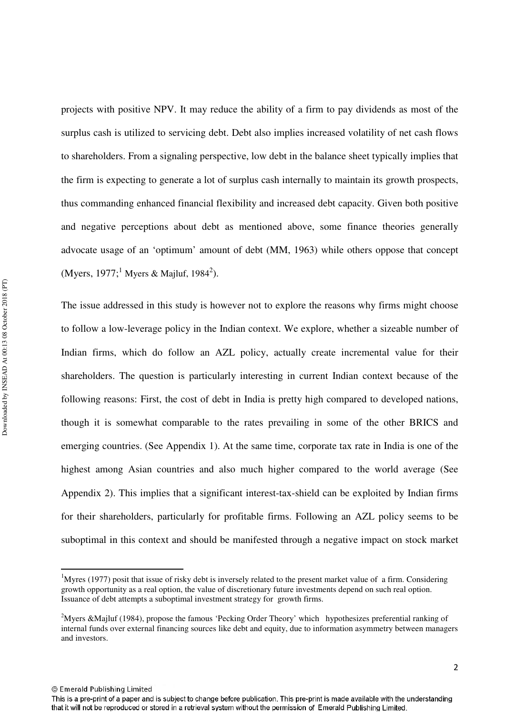projects with positive NPV. It may reduce the ability of a firm to pay dividends as most of the surplus cash is utilized to servicing debt. Debt also implies increased volatility of net cash flows to shareholders. From a signaling perspective, low debt in the balance sheet typically implies that the firm is expecting to generate a lot of surplus cash internally to maintain its growth prospects, thus commanding enhanced financial flexibility and increased debt capacity. Given both positive and negative perceptions about debt as mentioned above, some finance theories generally advocate usage of an 'optimum' amount of debt (MM, 1963) while others oppose that concept (Myers, 1977;<sup>1</sup> Myers & Majluf, 1984<sup>2</sup>).

The issue addressed in this study is however not to explore the reasons why firms might choose to follow a low-leverage policy in the Indian context. We explore, whether a sizeable number of Indian firms, which do follow an AZL policy, actually create incremental value for their shareholders. The question is particularly interesting in current Indian context because of the following reasons: First, the cost of debt in India is pretty high compared to developed nations, though it is somewhat comparable to the rates prevailing in some of the other BRICS and emerging countries. (See Appendix 1). At the same time, corporate tax rate in India is one of the highest among Asian countries and also much higher compared to the world average (See Appendix 2). This implies that a significant interest-tax-shield can be exploited by Indian firms for their shareholders, particularly for profitable firms. Following an AZL policy seems to be suboptimal in this context and should be manifested through a negative impact on stock market

© Emerald Publishing Limited

 $\overline{\phantom{0}}$ 

<sup>&</sup>lt;sup>1</sup>Myres (1977) posit that issue of risky debt is inversely related to the present market value of a firm. Considering growth opportunity as a real option, the value of discretionary future investments depend on such real option. Issuance of debt attempts a suboptimal investment strategy for growth firms.

<sup>&</sup>lt;sup>2</sup>Myers &Majluf (1984), propose the famous 'Pecking Order Theory' which hypothesizes preferential ranking of internal funds over external financing sources like debt and equity, due to information asymmetry between managers and investors.

This is a pre-print of a paper and is subject to change before publication. This pre-print is made available with the understanding that it will not be reproduced or stored in a retrieval system without the permission of Emerald Publishing Limited.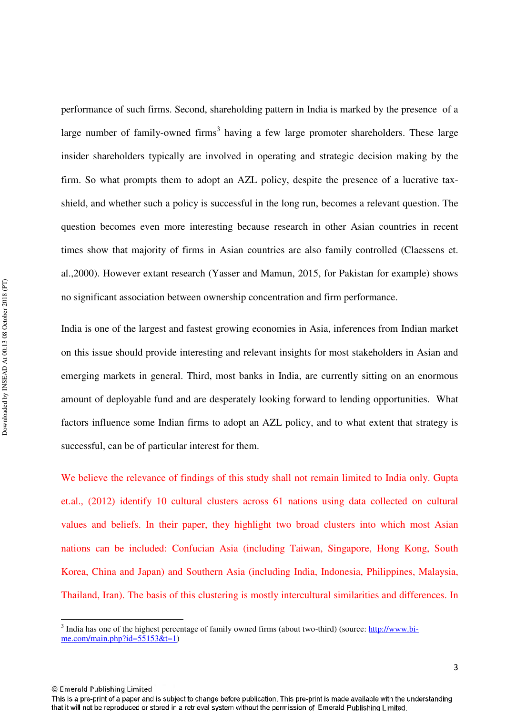performance of such firms. Second, shareholding pattern in India is marked by the presence of a large number of family-owned firms<sup>3</sup> having a few large promoter shareholders. These large insider shareholders typically are involved in operating and strategic decision making by the firm. So what prompts them to adopt an AZL policy, despite the presence of a lucrative taxshield, and whether such a policy is successful in the long run, becomes a relevant question. The question becomes even more interesting because research in other Asian countries in recent times show that majority of firms in Asian countries are also family controlled (Claessens et. al.,2000). However extant research (Yasser and Mamun, 2015, for Pakistan for example) shows no significant association between ownership concentration and firm performance.

India is one of the largest and fastest growing economies in Asia, inferences from Indian market on this issue should provide interesting and relevant insights for most stakeholders in Asian and emerging markets in general. Third, most banks in India, are currently sitting on an enormous amount of deployable fund and are desperately looking forward to lending opportunities. What factors influence some Indian firms to adopt an AZL policy, and to what extent that strategy is successful, can be of particular interest for them.

We believe the relevance of findings of this study shall not remain limited to India only. Gupta et.al., (2012) identify 10 cultural clusters across 61 nations using data collected on cultural values and beliefs. In their paper, they highlight two broad clusters into which most Asian nations can be included: Confucian Asia (including Taiwan, Singapore, Hong Kong, South Korea, China and Japan) and Southern Asia (including India, Indonesia, Philippines, Malaysia, Thailand, Iran). The basis of this clustering is mostly intercultural similarities and differences. In

 $\overline{a}$ 

<sup>&</sup>lt;sup>3</sup> India has one of the highest percentage of family owned firms (about two-third) (source: http://www.bime.com/main.php?id= $55153$ &t=1)

<sup>©</sup> Emerald Publishing Limited

This is a pre-print of a paper and is subject to change before publication. This pre-print is made available with the understanding that it will not be reproduced or stored in a retrieval system without the permission of Emerald Publishing Limited.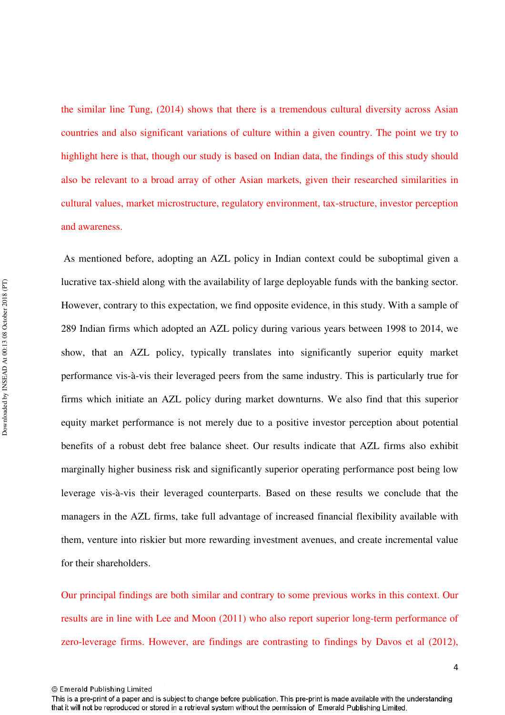the similar line Tung, (2014) shows that there is a tremendous cultural diversity across Asian countries and also significant variations of culture within a given country. The point we try to highlight here is that, though our study is based on Indian data, the findings of this study should also be relevant to a broad array of other Asian markets, given their researched similarities in cultural values, market microstructure, regulatory environment, tax-structure, investor perception and awareness.

 As mentioned before, adopting an AZL policy in Indian context could be suboptimal given a lucrative tax-shield along with the availability of large deployable funds with the banking sector. However, contrary to this expectation, we find opposite evidence, in this study. With a sample of 289 Indian firms which adopted an AZL policy during various years between 1998 to 2014, we show, that an AZL policy, typically translates into significantly superior equity market performance vis-à-vis their leveraged peers from the same industry. This is particularly true for firms which initiate an AZL policy during market downturns. We also find that this superior equity market performance is not merely due to a positive investor perception about potential benefits of a robust debt free balance sheet. Our results indicate that AZL firms also exhibit marginally higher business risk and significantly superior operating performance post being low leverage vis-à-vis their leveraged counterparts. Based on these results we conclude that the managers in the AZL firms, take full advantage of increased financial flexibility available with them, venture into riskier but more rewarding investment avenues, and create incremental value for their shareholders.

Our principal findings are both similar and contrary to some previous works in this context. Our results are in line with Lee and Moon (2011) who also report superior long-term performance of zero-leverage firms. However, are findings are contrasting to findings by Davos et al (2012),

<sup>©</sup> Emerald Publishing Limited

This is a pre-print of a paper and is subject to change before publication. This pre-print is made available with the understanding that it will not be reproduced or stored in a retrieval system without the permission of Emerald Publishing Limited.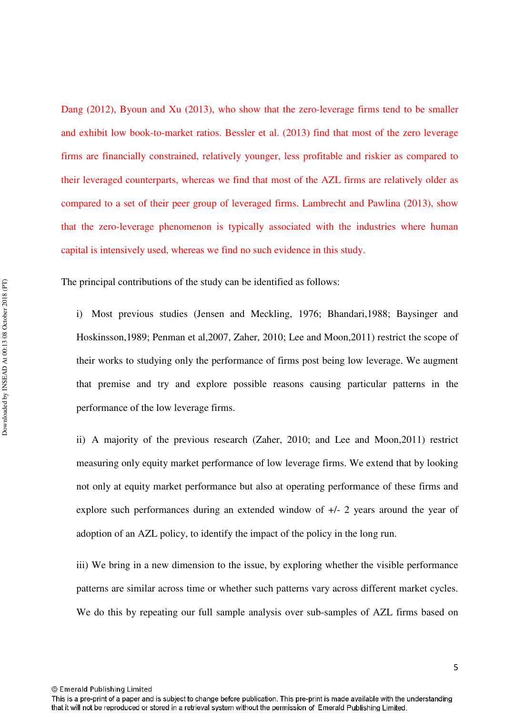Dang (2012), Byoun and Xu (2013), who show that the zero-leverage firms tend to be smaller and exhibit low book-to-market ratios. Bessler et al. (2013) find that most of the zero leverage firms are financially constrained, relatively younger, less profitable and riskier as compared to their leveraged counterparts, whereas we find that most of the AZL firms are relatively older as compared to a set of their peer group of leveraged firms. Lambrecht and Pawlina (2013), show that the zero-leverage phenomenon is typically associated with the industries where human capital is intensively used, whereas we find no such evidence in this study.

The principal contributions of the study can be identified as follows:

i) Most previous studies (Jensen and Meckling, 1976; Bhandari,1988; Baysinger and Hoskinsson,1989; Penman et al,2007, Zaher, 2010; Lee and Moon,2011) restrict the scope of their works to studying only the performance of firms post being low leverage. We augment that premise and try and explore possible reasons causing particular patterns in the performance of the low leverage firms.

ii) A majority of the previous research (Zaher, 2010; and Lee and Moon,2011) restrict measuring only equity market performance of low leverage firms. We extend that by looking not only at equity market performance but also at operating performance of these firms and explore such performances during an extended window of +/- 2 years around the year of adoption of an AZL policy, to identify the impact of the policy in the long run.

iii) We bring in a new dimension to the issue, by exploring whether the visible performance patterns are similar across time or whether such patterns vary across different market cycles. We do this by repeating our full sample analysis over sub-samples of AZL firms based on

© Emerald Publishing Limited

5

This is a pre-print of a paper and is subject to change before publication. This pre-print is made available with the understanding that it will not be reproduced or stored in a retrieval system without the permission of Emerald Publishing Limited.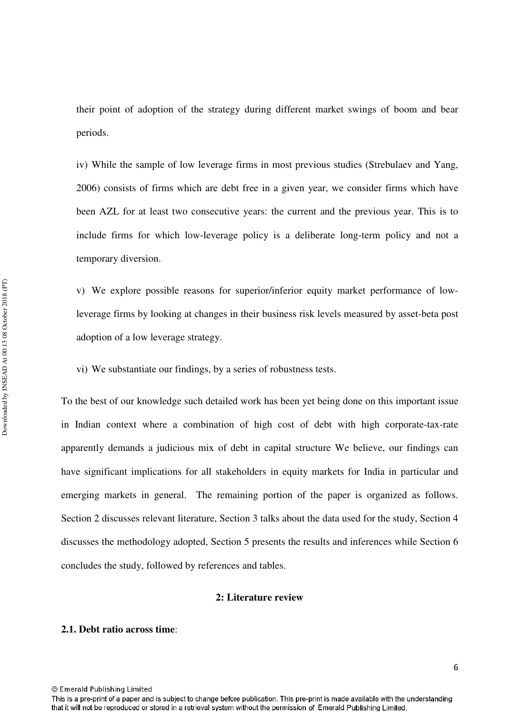their point of adoption of the strategy during different market swings of boom and bear periods.

iv) While the sample of low leverage firms in most previous studies (Strebulaev and Yang, 2006) consists of firms which are debt free in a given year, we consider firms which have been AZL for at least two consecutive years: the current and the previous year. This is to include firms for which low-leverage policy is a deliberate long-term policy and not a temporary diversion.

v) We explore possible reasons for superior/inferior equity market performance of lowleverage firms by looking at changes in their business risk levels measured by asset-beta post adoption of a low leverage strategy.

vi) We substantiate our findings, by a series of robustness tests.

To the best of our knowledge such detailed work has been yet being done on this important issue in Indian context where a combination of high cost of debt with high corporate-tax-rate apparently demands a judicious mix of debt in capital structure We believe, our findings can have significant implications for all stakeholders in equity markets for India in particular and emerging markets in general. The remaining portion of the paper is organized as follows. Section 2 discusses relevant literature, Section 3 talks about the data used for the study, Section 4 discusses the methodology adopted, Section 5 presents the results and inferences while Section 6 concludes the study, followed by references and tables.

#### **2: Literature review**

## **2.1. Debt ratio across time**:

This is a pre-print of a paper and is subject to change before publication. This pre-print is made available with the understanding that it will not be reproduced or stored in a retrieval system without the permission of Emerald Publishing Limited.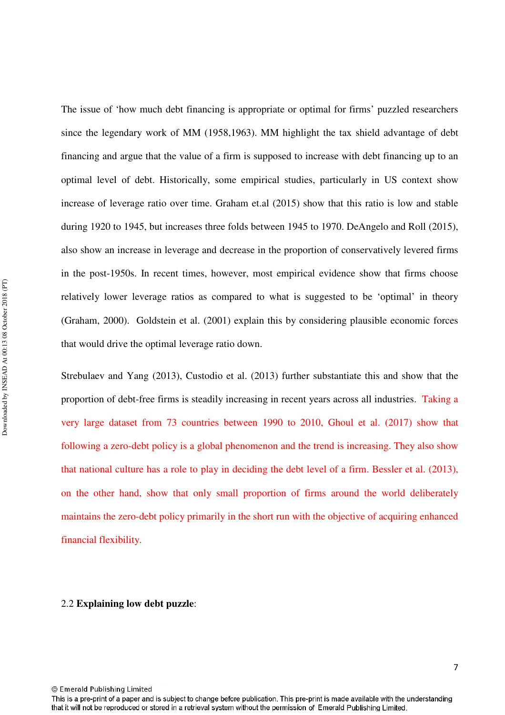The issue of 'how much debt financing is appropriate or optimal for firms' puzzled researchers since the legendary work of MM (1958,1963). MM highlight the tax shield advantage of debt financing and argue that the value of a firm is supposed to increase with debt financing up to an optimal level of debt. Historically, some empirical studies, particularly in US context show increase of leverage ratio over time. Graham et.al (2015) show that this ratio is low and stable during 1920 to 1945, but increases three folds between 1945 to 1970. DeAngelo and Roll (2015), also show an increase in leverage and decrease in the proportion of conservatively levered firms in the post-1950s. In recent times, however, most empirical evidence show that firms choose relatively lower leverage ratios as compared to what is suggested to be 'optimal' in theory (Graham, 2000). Goldstein et al. (2001) explain this by considering plausible economic forces that would drive the optimal leverage ratio down.

Strebulaev and Yang (2013), Custodio et al. (2013) further substantiate this and show that the proportion of debt-free firms is steadily increasing in recent years across all industries. Taking a very large dataset from 73 countries between 1990 to 2010, Ghoul et al. (2017) show that following a zero-debt policy is a global phenomenon and the trend is increasing. They also show that national culture has a role to play in deciding the debt level of a firm. Bessler et al. (2013), on the other hand, show that only small proportion of firms around the world deliberately maintains the zero-debt policy primarily in the short run with the objective of acquiring enhanced financial flexibility.

#### 2.2 **Explaining low debt puzzle**:

This is a pre-print of a paper and is subject to change before publication. This pre-print is made available with the understanding that it will not be reproduced or stored in a retrieval system without the permission of Emerald Publishing Limited.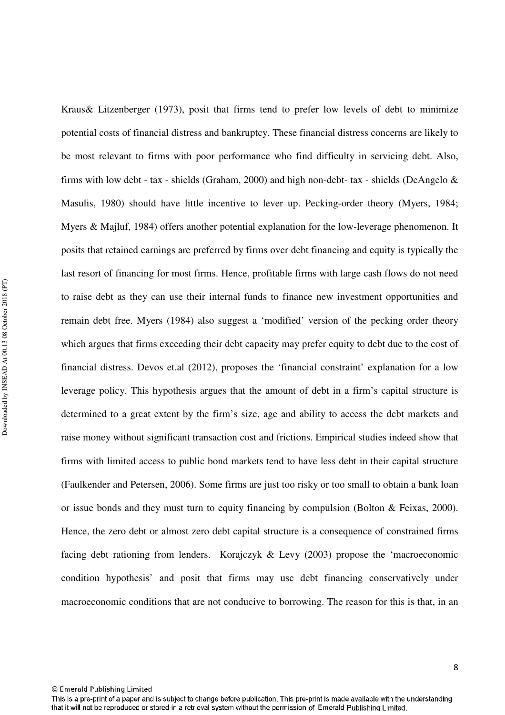Kraus& Litzenberger (1973), posit that firms tend to prefer low levels of debt to minimize potential costs of financial distress and bankruptcy. These financial distress concerns are likely to be most relevant to firms with poor performance who find difficulty in servicing debt. Also, firms with low debt - tax - shields (Graham, 2000) and high non-debt- tax - shields (DeAngelo & Masulis, 1980) should have little incentive to lever up. Pecking-order theory (Myers, 1984; Myers & Majluf, 1984) offers another potential explanation for the low-leverage phenomenon. It posits that retained earnings are preferred by firms over debt financing and equity is typically the last resort of financing for most firms. Hence, profitable firms with large cash flows do not need to raise debt as they can use their internal funds to finance new investment opportunities and remain debt free. Myers (1984) also suggest a 'modified' version of the pecking order theory which argues that firms exceeding their debt capacity may prefer equity to debt due to the cost of financial distress. Devos et.al (2012), proposes the 'financial constraint' explanation for a low leverage policy. This hypothesis argues that the amount of debt in a firm's capital structure is determined to a great extent by the firm's size, age and ability to access the debt markets and raise money without significant transaction cost and frictions. Empirical studies indeed show that firms with limited access to public bond markets tend to have less debt in their capital structure (Faulkender and Petersen, 2006). Some firms are just too risky or too small to obtain a bank loan or issue bonds and they must turn to equity financing by compulsion (Bolton & Feixas, 2000). Hence, the zero debt or almost zero debt capital structure is a consequence of constrained firms facing debt rationing from lenders. Korajczyk & Levy (2003) propose the 'macroeconomic condition hypothesis' and posit that firms may use debt financing conservatively under macroeconomic conditions that are not conducive to borrowing. The reason for this is that, in an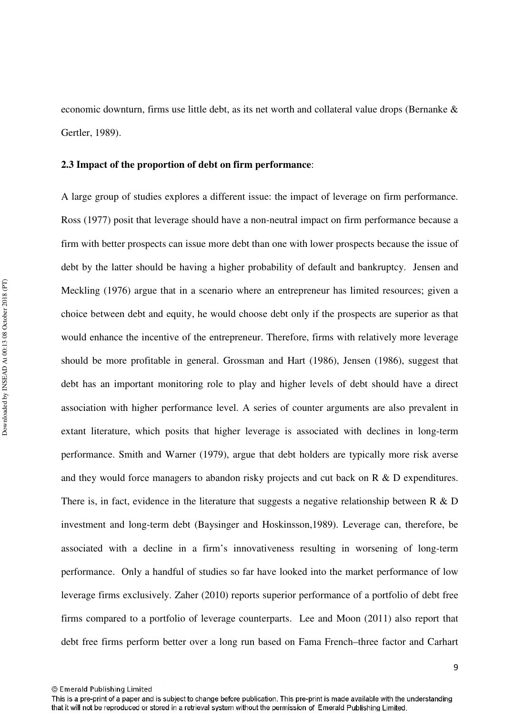economic downturn, firms use little debt, as its net worth and collateral value drops (Bernanke & Gertler, 1989).

#### **2.3 Impact of the proportion of debt on firm performance**:

A large group of studies explores a different issue: the impact of leverage on firm performance. Ross (1977) posit that leverage should have a non-neutral impact on firm performance because a firm with better prospects can issue more debt than one with lower prospects because the issue of debt by the latter should be having a higher probability of default and bankruptcy. Jensen and Meckling (1976) argue that in a scenario where an entrepreneur has limited resources; given a choice between debt and equity, he would choose debt only if the prospects are superior as that would enhance the incentive of the entrepreneur. Therefore, firms with relatively more leverage should be more profitable in general. Grossman and Hart (1986), Jensen (1986), suggest that debt has an important monitoring role to play and higher levels of debt should have a direct association with higher performance level. A series of counter arguments are also prevalent in extant literature, which posits that higher leverage is associated with declines in long-term performance. Smith and Warner (1979), argue that debt holders are typically more risk averse and they would force managers to abandon risky projects and cut back on R & D expenditures. There is, in fact, evidence in the literature that suggests a negative relationship between  $R \& D$ investment and long-term debt (Baysinger and Hoskinsson,1989). Leverage can, therefore, be associated with a decline in a firm's innovativeness resulting in worsening of long-term performance. Only a handful of studies so far have looked into the market performance of low leverage firms exclusively. Zaher (2010) reports superior performance of a portfolio of debt free firms compared to a portfolio of leverage counterparts. Lee and Moon (2011) also report that debt free firms perform better over a long run based on Fama French–three factor and Carhart

<sup>©</sup> Emerald Publishing Limited

This is a pre-print of a paper and is subject to change before publication. This pre-print is made available with the understanding that it will not be reproduced or stored in a retrieval system without the permission of Emerald Publishing Limited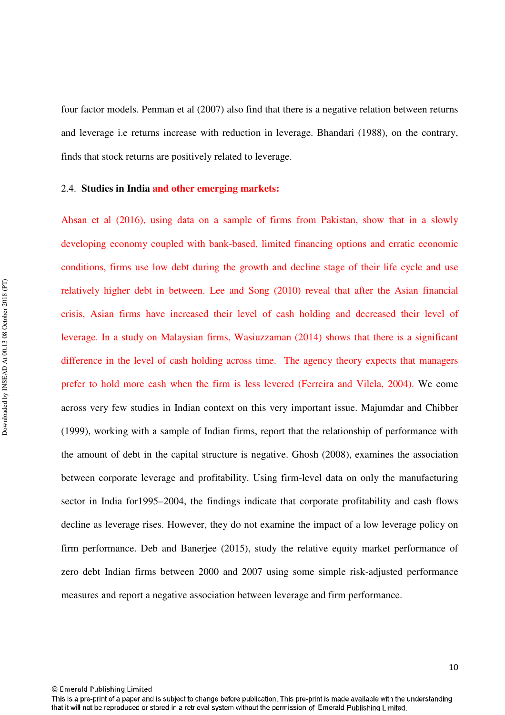four factor models. Penman et al (2007) also find that there is a negative relation between returns and leverage i.e returns increase with reduction in leverage. Bhandari (1988), on the contrary, finds that stock returns are positively related to leverage.

#### 2.4. **Studies in India and other emerging markets:**

Ahsan et al (2016), using data on a sample of firms from Pakistan, show that in a slowly developing economy coupled with bank-based, limited financing options and erratic economic conditions, firms use low debt during the growth and decline stage of their life cycle and use relatively higher debt in between. Lee and Song (2010) reveal that after the Asian financial crisis, Asian firms have increased their level of cash holding and decreased their level of leverage. In a study on Malaysian firms, Wasiuzzaman (2014) shows that there is a significant difference in the level of cash holding across time. The agency theory expects that managers prefer to hold more cash when the firm is less levered (Ferreira and Vilela, 2004). We come across very few studies in Indian context on this very important issue. Majumdar and Chibber (1999), working with a sample of Indian firms, report that the relationship of performance with the amount of debt in the capital structure is negative. Ghosh (2008), examines the association between corporate leverage and profitability. Using firm-level data on only the manufacturing sector in India for1995–2004, the findings indicate that corporate profitability and cash flows decline as leverage rises. However, they do not examine the impact of a low leverage policy on firm performance. Deb and Banerjee (2015), study the relative equity market performance of zero debt Indian firms between 2000 and 2007 using some simple risk-adjusted performance measures and report a negative association between leverage and firm performance.

© Emerald Publishing Limited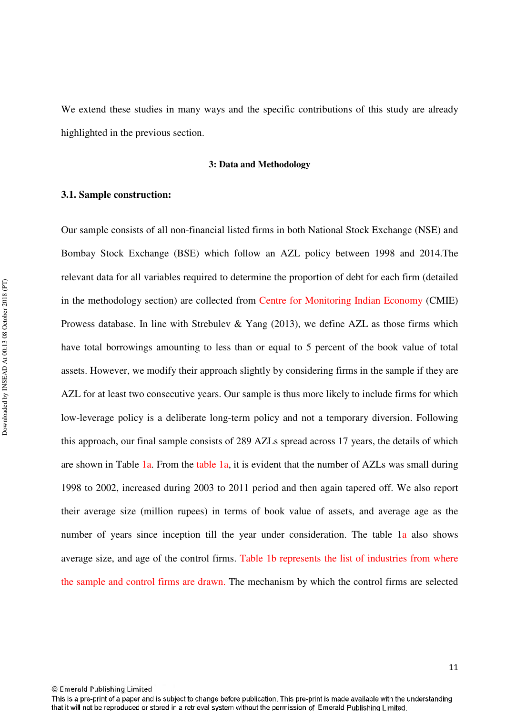We extend these studies in many ways and the specific contributions of this study are already highlighted in the previous section.

#### **3: Data and Methodology**

#### **3.1. Sample construction:**

Our sample consists of all non-financial listed firms in both National Stock Exchange (NSE) and Bombay Stock Exchange (BSE) which follow an AZL policy between 1998 and 2014.The relevant data for all variables required to determine the proportion of debt for each firm (detailed in the methodology section) are collected from Centre for Monitoring Indian Economy (CMIE) Prowess database. In line with Strebulev & Yang  $(2013)$ , we define AZL as those firms which have total borrowings amounting to less than or equal to 5 percent of the book value of total assets. However, we modify their approach slightly by considering firms in the sample if they are AZL for at least two consecutive years. Our sample is thus more likely to include firms for which low-leverage policy is a deliberate long-term policy and not a temporary diversion. Following this approach, our final sample consists of 289 AZLs spread across 17 years, the details of which are shown in Table 1a. From the table 1a, it is evident that the number of AZLs was small during 1998 to 2002, increased during 2003 to 2011 period and then again tapered off. We also report their average size (million rupees) in terms of book value of assets, and average age as the number of years since inception till the year under consideration. The table 1a also shows average size, and age of the control firms. Table 1b represents the list of industries from where the sample and control firms are drawn. The mechanism by which the control firms are selected

© Emerald Publishing Limited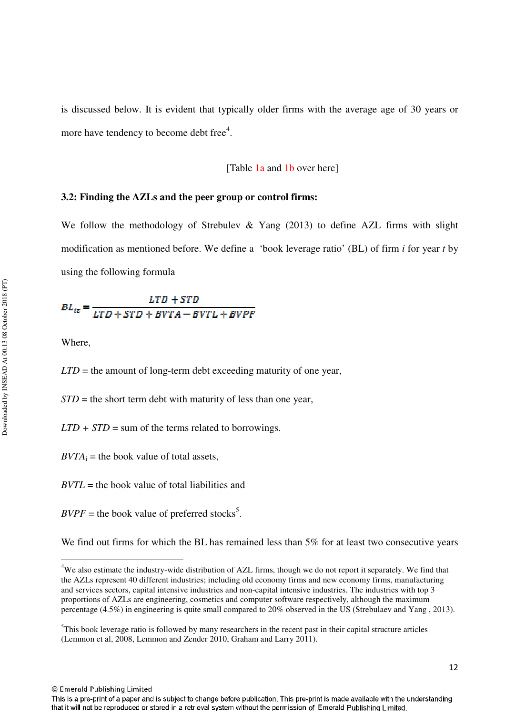is discussed below. It is evident that typically older firms with the average age of 30 years or more have tendency to become debt free $4$ .

#### [Table 1a and 1b over here]

#### **3.2: Finding the AZLs and the peer group or control firms:**

We follow the methodology of Strebulev & Yang (2013) to define AZL firms with slight modification as mentioned before. We define a 'book leverage ratio' (BL) of firm *i* for year *t* by using the following formula

$$
BL_{ie} = \frac{LTD + STD}{LTD + STD + BVTA - BVTL + BVPF}
$$

Where,

l

*LTD* = the amount of long-term debt exceeding maturity of one year,

*STD* = the short term debt with maturity of less than one year,

 $LTD + STD =$  sum of the terms related to borrowings.

 $BVTA_i$  = the book value of total assets,

*BVTL* = the book value of total liabilities and

 $BVPF$  = the book value of preferred stocks<sup>5</sup>.

We find out firms for which the BL has remained less than 5% for at least two consecutive years

<sup>&</sup>lt;sup>4</sup>We also estimate the industry-wide distribution of AZL firms, though we do not report it separately. We find that the AZLs represent 40 different industries; including old economy firms and new economy firms, manufacturing and services sectors, capital intensive industries and non-capital intensive industries. The industries with top 3 proportions of AZLs are engineering, cosmetics and computer software respectively, although the maximum percentage (4.5%) in engineering is quite small compared to 20% observed in the US (Strebulaev and Yang , 2013).

<sup>&</sup>lt;sup>5</sup>This book leverage ratio is followed by many researchers in the recent past in their capital structure articles (Lemmon et al, 2008, Lemmon and Zender 2010, Graham and Larry 2011).

This is a pre-print of a paper and is subject to change before publication. This pre-print is made available with the understanding that it will not be reproduced or stored in a retrieval system without the permission of Emerald Publishing Limited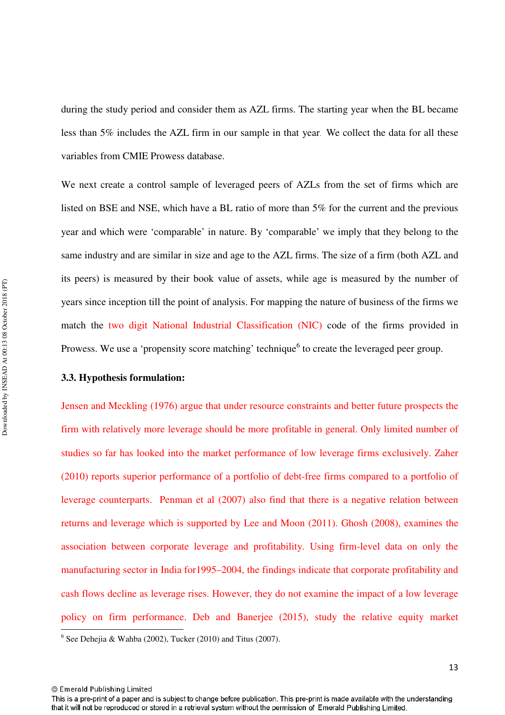during the study period and consider them as AZL firms. The starting year when the BL became less than 5% includes the AZL firm in our sample in that year. We collect the data for all these variables from CMIE Prowess database.

We next create a control sample of leveraged peers of AZLs from the set of firms which are listed on BSE and NSE, which have a BL ratio of more than 5% for the current and the previous year and which were 'comparable' in nature. By 'comparable' we imply that they belong to the same industry and are similar in size and age to the AZL firms. The size of a firm (both AZL and its peers) is measured by their book value of assets, while age is measured by the number of years since inception till the point of analysis. For mapping the nature of business of the firms we match the two digit National Industrial Classification (NIC) code of the firms provided in Prowess. We use a 'propensity score matching' technique<sup>6</sup> to create the leveraged peer group.

#### **3.3. Hypothesis formulation:**

Jensen and Meckling (1976) argue that under resource constraints and better future prospects the firm with relatively more leverage should be more profitable in general. Only limited number of studies so far has looked into the market performance of low leverage firms exclusively. Zaher (2010) reports superior performance of a portfolio of debt-free firms compared to a portfolio of leverage counterparts. Penman et al (2007) also find that there is a negative relation between returns and leverage which is supported by Lee and Moon (2011). Ghosh (2008), examines the association between corporate leverage and profitability. Using firm-level data on only the manufacturing sector in India for1995–2004, the findings indicate that corporate profitability and cash flows decline as leverage rises. However, they do not examine the impact of a low leverage policy on firm performance. Deb and Banerjee (2015), study the relative equity market

<sup>&</sup>lt;sup>6</sup> See Dehejia & Wahba (2002), Tucker (2010) and Titus (2007).

<sup>©</sup> Emerald Publishing Limited

<sup>13</sup>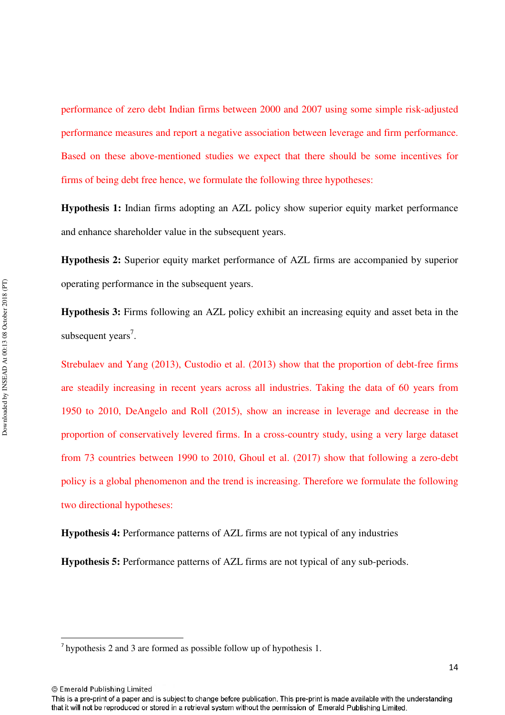performance of zero debt Indian firms between 2000 and 2007 using some simple risk-adjusted performance measures and report a negative association between leverage and firm performance. Based on these above-mentioned studies we expect that there should be some incentives for firms of being debt free hence, we formulate the following three hypotheses:

**Hypothesis 1:** Indian firms adopting an AZL policy show superior equity market performance and enhance shareholder value in the subsequent years.

**Hypothesis 2:** Superior equity market performance of AZL firms are accompanied by superior operating performance in the subsequent years.

**Hypothesis 3:** Firms following an AZL policy exhibit an increasing equity and asset beta in the subsequent years<sup>7</sup>.

Strebulaev and Yang (2013), Custodio et al. (2013) show that the proportion of debt-free firms are steadily increasing in recent years across all industries. Taking the data of 60 years from 1950 to 2010, DeAngelo and Roll (2015), show an increase in leverage and decrease in the proportion of conservatively levered firms. In a cross-country study, using a very large dataset from 73 countries between 1990 to 2010, Ghoul et al. (2017) show that following a zero-debt policy is a global phenomenon and the trend is increasing. Therefore we formulate the following two directional hypotheses:

**Hypothesis 4:** Performance patterns of AZL firms are not typical of any industries

**Hypothesis 5:** Performance patterns of AZL firms are not typical of any sub-periods.

© Emerald Publishing Limited

 $\overline{\phantom{0}}$ 

 $<sup>7</sup>$  hypothesis 2 and 3 are formed as possible follow up of hypothesis 1.</sup>

This is a pre-print of a paper and is subject to change before publication. This pre-print is made available with the understanding that it will not be reproduced or stored in a retrieval system without the permission of Emerald Publishing Limited.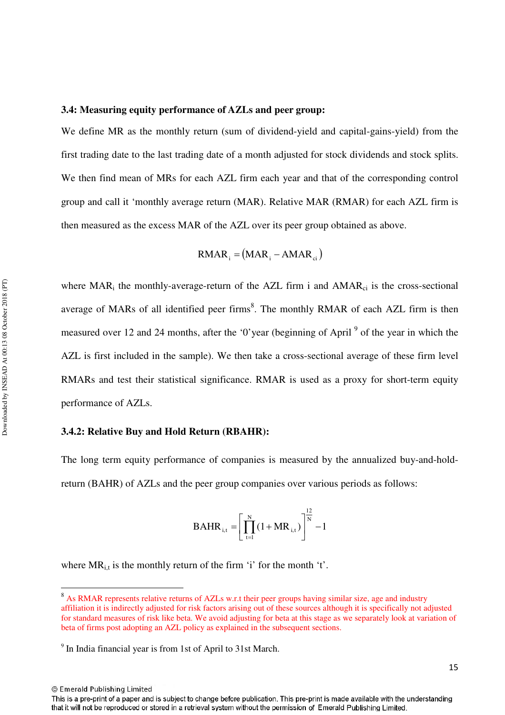#### **3.4: Measuring equity performance of AZLs and peer group:**

We define MR as the monthly return (sum of dividend-yield and capital-gains-yield) from the first trading date to the last trading date of a month adjusted for stock dividends and stock splits. We then find mean of MRs for each AZL firm each year and that of the corresponding control group and call it 'monthly average return (MAR). Relative MAR (RMAR) for each AZL firm is then measured as the excess MAR of the AZL over its peer group obtained as above.

$$
RMAR_i = (MAR_i - AMAR_{ci})
$$

where  $\text{MAR}_i$  the monthly-average-return of the AZL firm i and  $\text{AMAR}_{ci}$  is the cross-sectional average of MARs of all identified peer firms<sup>8</sup>. The monthly RMAR of each AZL firm is then measured over 12 and 24 months, after the '0'year (beginning of April<sup>9</sup> of the year in which the AZL is first included in the sample). We then take a cross-sectional average of these firm level RMARs and test their statistical significance. RMAR is used as a proxy for short-term equity performance of AZLs.

#### **3.4.2: Relative Buy and Hold Return (RBAHR):**

The long term equity performance of companies is measured by the annualized buy-and-holdreturn (BAHR) of AZLs and the peer group companies over various periods as follows:

$$
BAHR_{i,t} = \left[\prod_{t=1}^{N} (1 + MR_{i,t})\right]^{\frac{12}{N}} - 1
$$

where  $MR_{i,t}$  is the monthly return of the firm 'i' for the month 't'.

© Emerald Publishing Limited

l

15

<sup>&</sup>lt;sup>8</sup> As RMAR represents relative returns of AZLs w.r.t their peer groups having similar size, age and industry affiliation it is indirectly adjusted for risk factors arising out of these sources although it is specifically not adjusted for standard measures of risk like beta. We avoid adjusting for beta at this stage as we separately look at variation of beta of firms post adopting an AZL policy as explained in the subsequent sections.

<sup>&</sup>lt;sup>9</sup> In India financial year is from 1st of April to 31st March.

This is a pre-print of a paper and is subject to change before publication. This pre-print is made available with the understanding that it will not be reproduced or stored in a retrieval system without the permission of Emerald Publishing Limited.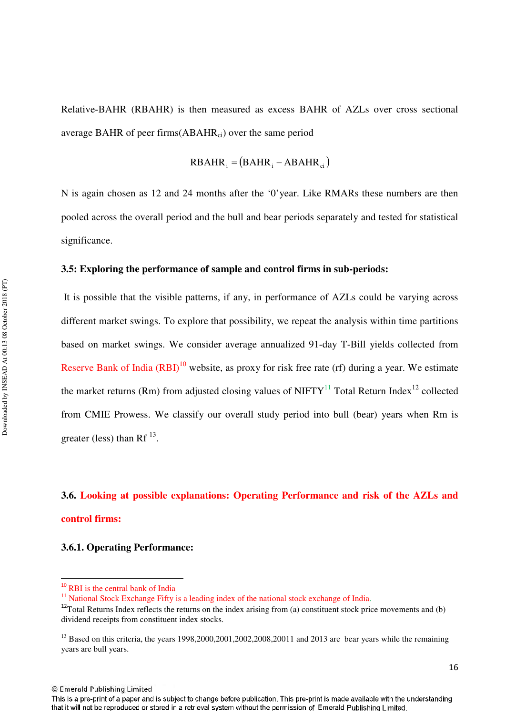Relative-BAHR (RBAHR) is then measured as excess BAHR of AZLs over cross sectional average BAHR of peer firms $(ABAHR_{ci})$  over the same period

$$
RBAHR_i = (BAHR_i - ABAHR_{ci})
$$

N is again chosen as 12 and 24 months after the '0'year. Like RMARs these numbers are then pooled across the overall period and the bull and bear periods separately and tested for statistical significance.

#### **3.5: Exploring the performance of sample and control firms in sub-periods:**

 It is possible that the visible patterns, if any, in performance of AZLs could be varying across different market swings. To explore that possibility, we repeat the analysis within time partitions based on market swings. We consider average annualized 91-day T-Bill yields collected from Reserve Bank of India  $(RBI)^{10}$  website, as proxy for risk free rate (rf) during a year. We estimate the market returns (Rm) from adjusted closing values of NIFTY<sup>11</sup> Total Return Index<sup>12</sup> collected from CMIE Prowess. We classify our overall study period into bull (bear) years when Rm is greater (less) than Rf<sup> $13$ </sup>.

# **3.6. Looking at possible explanations: Operating Performance and risk of the AZLs and control firms:**

#### **3.6.1. Operating Performance:**

 $\overline{a}$ 

<sup>&</sup>lt;sup>10</sup> RBI is the central bank of India

<sup>&</sup>lt;sup>11</sup> National Stock Exchange Fifty is a leading index of the national stock exchange of India.

 $12$ Total Returns Index reflects the returns on the index arising from (a) constituent stock price movements and (b) dividend receipts from constituent index stocks.

 $13$  Based on this criteria, the years 1998,2000,2001,2002,2008,20011 and 2013 are bear years while the remaining years are bull years.

This is a pre-print of a paper and is subject to change before publication. This pre-print is made available with the understanding that it will not be reproduced or stored in a retrieval system without the permission of Emerald Publishing Limited.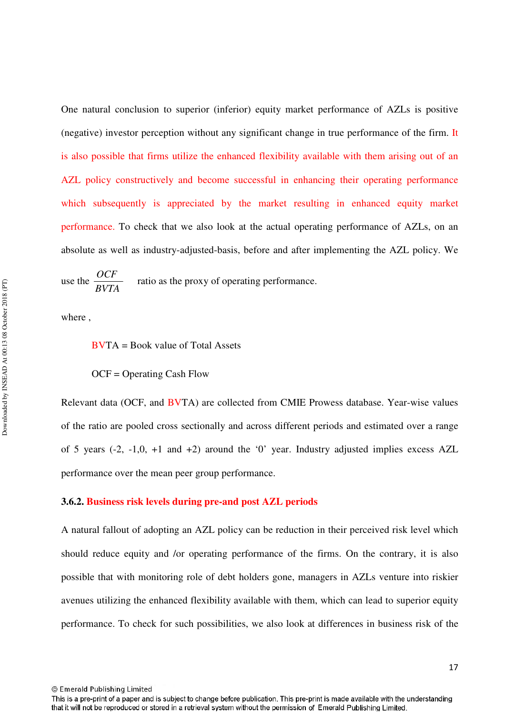One natural conclusion to superior (inferior) equity market performance of AZLs is positive (negative) investor perception without any significant change in true performance of the firm. It is also possible that firms utilize the enhanced flexibility available with them arising out of an AZL policy constructively and become successful in enhancing their operating performance which subsequently is appreciated by the market resulting in enhanced equity market performance. To check that we also look at the actual operating performance of AZLs, on an absolute as well as industry-adjusted-basis, before and after implementing the AZL policy. We

use the *BVTA*  $\frac{OCF}{PV}$  ratio as the proxy of operating performance.

where ,

BVTA = Book value of Total Assets

OCF = Operating Cash Flow

Relevant data (OCF, and BVTA) are collected from CMIE Prowess database. Year-wise values of the ratio are pooled cross sectionally and across different periods and estimated over a range of 5 years (-2, -1,0, +1 and +2) around the '0' year. Industry adjusted implies excess AZL performance over the mean peer group performance.

#### **3.6.2. Business risk levels during pre-and post AZL periods**

A natural fallout of adopting an AZL policy can be reduction in their perceived risk level which should reduce equity and /or operating performance of the firms. On the contrary, it is also possible that with monitoring role of debt holders gone, managers in AZLs venture into riskier avenues utilizing the enhanced flexibility available with them, which can lead to superior equity performance. To check for such possibilities, we also look at differences in business risk of the

This is a pre-print of a paper and is subject to change before publication. This pre-print is made available with the understanding that it will not be reproduced or stored in a retrieval system without the permission of Emerald Publishing Limited.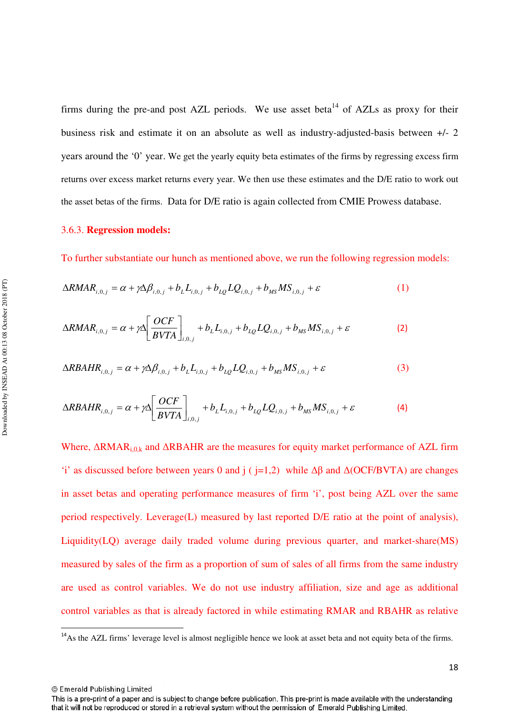firms during the pre-and post AZL periods. We use asset beta<sup>14</sup> of AZLs as proxy for their business risk and estimate it on an absolute as well as industry-adjusted-basis between +/- 2 years around the '0' year. We get the yearly equity beta estimates of the firms by regressing excess firm returns over excess market returns every year. We then use these estimates and the D/E ratio to work out the asset betas of the firms. Data for D/E ratio is again collected from CMIE Prowess database.

#### 3.6.3. **Regression models:**

To further substantiate our hunch as mentioned above, we run the following regression models:

$$
\Delta R M AR_{i,0,j} = \alpha + \gamma \Delta \beta_{i,0,j} + b_L L_{i,0,j} + b_{LQ} LQ_{i,0,j} + b_{MS} MS_{i,0,j} + \varepsilon
$$
(1)

$$
\Delta RMAR_{i,0,j} = \alpha + \gamma \Delta \left[ \frac{OCF}{BVTA} \right]_{i,0,j} + b_L L_{i,0,j} + b_{LQ} LQ_{i,0,j} + b_{MS} MS_{i,0,j} + \varepsilon
$$
 (2)

$$
\Delta RBAHR_{i,0,j} = \alpha + \gamma \Delta \beta_{i,0,j} + b_L L_{i,0,j} + b_{LQ} LQ_{i,0,j} + b_{MS} MS_{i,0,j} + \varepsilon
$$
\n(3)

$$
\Delta RBAHR_{i,0,j} = \alpha + \gamma \Delta \left[ \frac{OCF}{BVTA} \right]_{i,0,j} + b_{L}L_{i,0,j} + b_{LQ}LQ_{i,0,j} + b_{MS}MS_{i,0,j} + \varepsilon
$$
 (4)

Where,  $\Delta$ RMAR<sub>i,0,k</sub> and  $\Delta$ RBAHR are the measures for equity market performance of AZL firm 'i' as discussed before between years 0 and j ( $i=1,2$ ) while  $\Delta\beta$  and  $\Delta(OCF/BVTA)$  are changes in asset betas and operating performance measures of firm 'i', post being AZL over the same period respectively. Leverage(L) measured by last reported D/E ratio at the point of analysis), Liquidity(LQ) average daily traded volume during previous quarter, and market-share(MS) measured by sales of the firm as a proportion of sum of sales of all firms from the same industry are used as control variables. We do not use industry affiliation, size and age as additional control variables as that is already factored in while estimating RMAR and RBAHR as relative

© Emerald Publishing Limited

l

<sup>&</sup>lt;sup>14</sup>As the AZL firms' leverage level is almost negligible hence we look at asset beta and not equity beta of the firms.

This is a pre-print of a paper and is subject to change before publication. This pre-print is made available with the understanding that it will not be reproduced or stored in a retrieval system without the permission of Emerald Publishing Limited.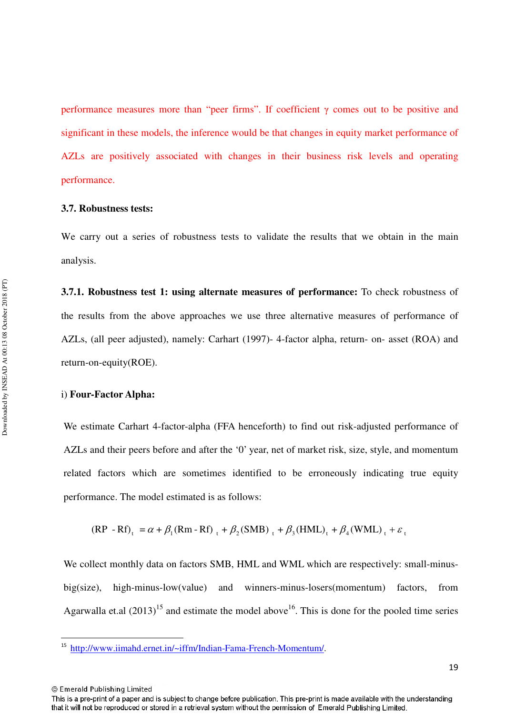performance measures more than "peer firms". If coefficient  $\gamma$  comes out to be positive and significant in these models, the inference would be that changes in equity market performance of AZLs are positively associated with changes in their business risk levels and operating performance.

#### **3.7. Robustness tests:**

We carry out a series of robustness tests to validate the results that we obtain in the main analysis.

**3.7.1. Robustness test 1: using alternate measures of performance:** To check robustness of the results from the above approaches we use three alternative measures of performance of AZLs, (all peer adjusted), namely: Carhart (1997)- 4-factor alpha, return- on- asset (ROA) and return-on-equity(ROE).

#### i) **Four-Factor Alpha:**

We estimate Carhart 4-factor-alpha (FFA henceforth) to find out risk-adjusted performance of AZLs and their peers before and after the '0' year, net of market risk, size, style, and momentum related factors which are sometimes identified to be erroneously indicating true equity performance. The model estimated is as follows:

$$
(RP - Rf)_t = \alpha + \beta_1(Rm - Rf)_t + \beta_2(SMB)_t + \beta_3(HML)_t + \beta_4(WML)_t + \varepsilon_t
$$

We collect monthly data on factors SMB, HML and WML which are respectively: small-minusbig(size), high-minus-low(value) and winners-minus-losers(momentum) factors, from Agarwalla et.al  $(2013)^{15}$  and estimate the model above<sup>16</sup>. This is done for the pooled time series

© Emerald Publishing Limited

 $\overline{\phantom{0}}$ 

<sup>&</sup>lt;sup>15</sup> http://www.iimahd.ernet.in/~iffm/Indian-Fama-French-Momentum/.

This is a pre-print of a paper and is subject to change before publication. This pre-print is made available with the understanding that it will not be reproduced or stored in a retrieval system without the permission of Emerald Publishing Limited.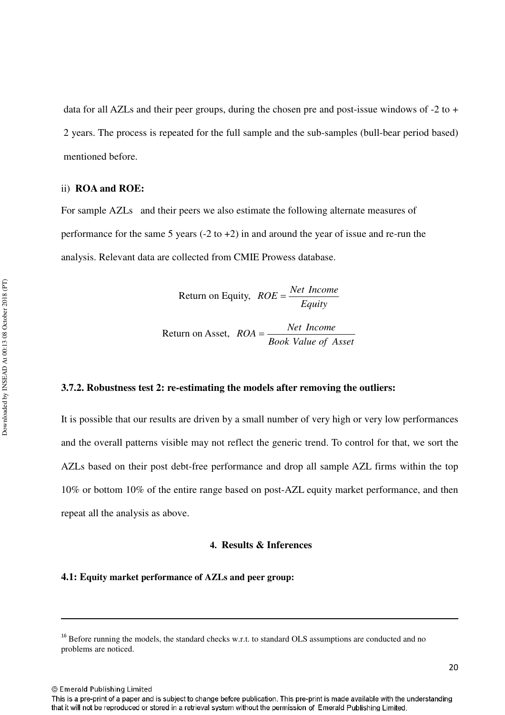data for all AZLs and their peer groups, during the chosen pre and post-issue windows of -2 to + 2 years. The process is repeated for the full sample and the sub-samples (bull-bear period based) mentioned before.

#### ii) **ROA and ROE:**

For sample AZLs and their peers we also estimate the following alternate measures of performance for the same 5 years  $(-2 \text{ to } +2)$  in and around the year of issue and re-run the analysis. Relevant data are collected from CMIE Prowess database.

Return on Equity, 
$$
ROE = \frac{Net Income}{Equity}
$$
  
Return on Asset,  $ROA = \frac{Net Income}{Book Value of Asset}$ 

#### **3.7.2. Robustness test 2: re-estimating the models after removing the outliers:**

It is possible that our results are driven by a small number of very high or very low performances and the overall patterns visible may not reflect the generic trend. To control for that, we sort the AZLs based on their post debt-free performance and drop all sample AZL firms within the top 10% or bottom 10% of the entire range based on post-AZL equity market performance, and then repeat all the analysis as above.

#### **4. Results & Inferences**

#### **4.1: Equity market performance of AZLs and peer group:**

© Emerald Publishing Limited

 $\overline{\phantom{0}}$ 

<sup>&</sup>lt;sup>16</sup> Before running the models, the standard checks w.r.t. to standard OLS assumptions are conducted and no problems are noticed.

This is a pre-print of a paper and is subject to change before publication. This pre-print is made available with the understanding that it will not be reproduced or stored in a retrieval system without the permission of Emerald Publishing Limited.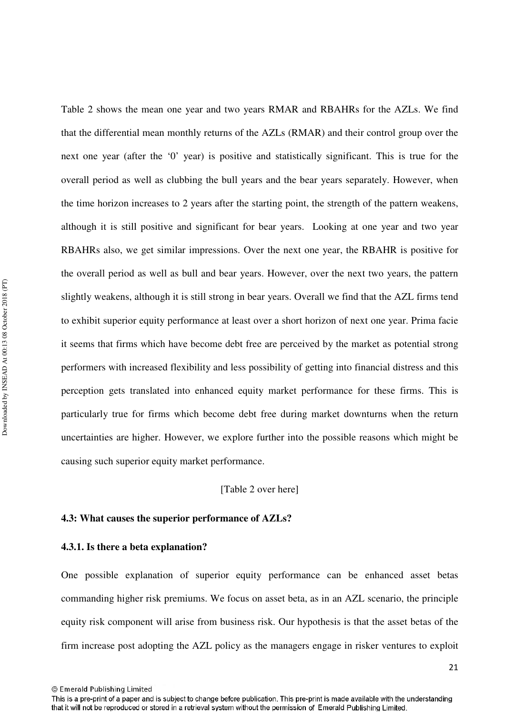Table 2 shows the mean one year and two years RMAR and RBAHRs for the AZLs. We find that the differential mean monthly returns of the AZLs (RMAR) and their control group over the next one year (after the '0' year) is positive and statistically significant. This is true for the overall period as well as clubbing the bull years and the bear years separately. However, when the time horizon increases to 2 years after the starting point, the strength of the pattern weakens, although it is still positive and significant for bear years. Looking at one year and two year RBAHRs also, we get similar impressions. Over the next one year, the RBAHR is positive for the overall period as well as bull and bear years. However, over the next two years, the pattern slightly weakens, although it is still strong in bear years. Overall we find that the AZL firms tend to exhibit superior equity performance at least over a short horizon of next one year. Prima facie it seems that firms which have become debt free are perceived by the market as potential strong performers with increased flexibility and less possibility of getting into financial distress and this perception gets translated into enhanced equity market performance for these firms. This is particularly true for firms which become debt free during market downturns when the return uncertainties are higher. However, we explore further into the possible reasons which might be causing such superior equity market performance.

#### [Table 2 over here]

#### **4.3: What causes the superior performance of AZLs?**

#### **4.3.1. Is there a beta explanation?**

One possible explanation of superior equity performance can be enhanced asset betas commanding higher risk premiums. We focus on asset beta, as in an AZL scenario, the principle equity risk component will arise from business risk. Our hypothesis is that the asset betas of the firm increase post adopting the AZL policy as the managers engage in risker ventures to exploit

<sup>©</sup> Emerald Publishing Limited

This is a pre-print of a paper and is subject to change before publication. This pre-print is made available with the understanding that it will not be reproduced or stored in a retrieval system without the permission of Emerald Publishing Limited.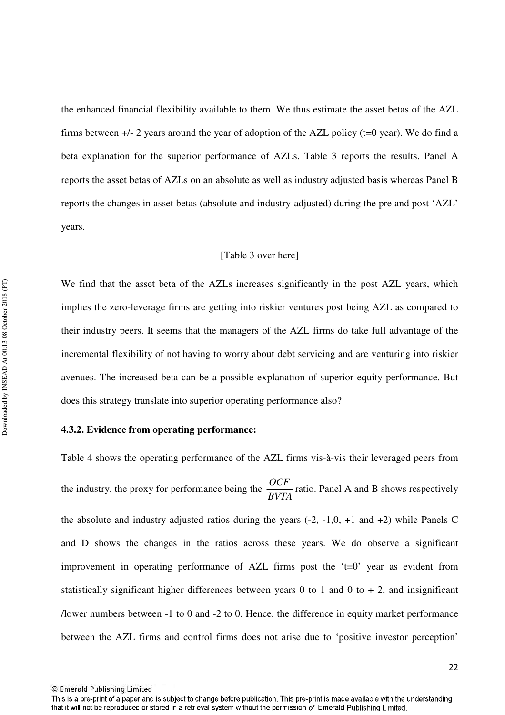the enhanced financial flexibility available to them. We thus estimate the asset betas of the AZL firms between  $+/-$  2 years around the year of adoption of the AZL policy ( $t=0$  year). We do find a beta explanation for the superior performance of AZLs. Table 3 reports the results. Panel A reports the asset betas of AZLs on an absolute as well as industry adjusted basis whereas Panel B reports the changes in asset betas (absolute and industry-adjusted) during the pre and post 'AZL' years.

#### [Table 3 over here]

We find that the asset beta of the AZLs increases significantly in the post AZL years, which implies the zero-leverage firms are getting into riskier ventures post being AZL as compared to their industry peers. It seems that the managers of the AZL firms do take full advantage of the incremental flexibility of not having to worry about debt servicing and are venturing into riskier avenues. The increased beta can be a possible explanation of superior equity performance. But does this strategy translate into superior operating performance also?

#### **4.3.2. Evidence from operating performance:**

Table 4 shows the operating performance of the AZL firms vis-à-vis their leveraged peers from the industry, the proxy for performance being the *BVTA*  $\frac{OCF}{DV/T}$  ratio. Panel A and B shows respectively the absolute and industry adjusted ratios during the years  $(-2, -1, 0, +1, -1)$  and  $(+2)$  while Panels C and D shows the changes in the ratios across these years. We do observe a significant improvement in operating performance of AZL firms post the 't=0' year as evident from statistically significant higher differences between years 0 to 1 and 0 to  $+$  2, and insignificant /lower numbers between -1 to 0 and -2 to 0. Hence, the difference in equity market performance between the AZL firms and control firms does not arise due to 'positive investor perception'

This is a pre-print of a paper and is subject to change before publication. This pre-print is made available with the understanding that it will not be reproduced or stored in a retrieval system without the permission of Emerald Publishing Limited.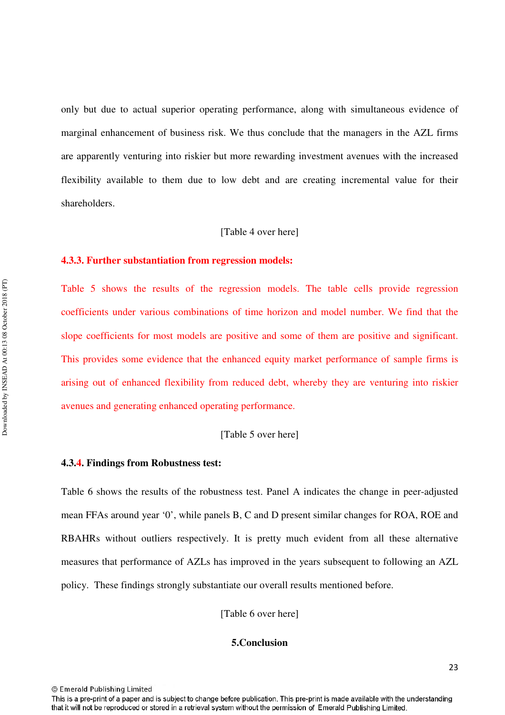only but due to actual superior operating performance, along with simultaneous evidence of marginal enhancement of business risk. We thus conclude that the managers in the AZL firms are apparently venturing into riskier but more rewarding investment avenues with the increased flexibility available to them due to low debt and are creating incremental value for their shareholders.

#### [Table 4 over here]

#### **4.3.3. Further substantiation from regression models:**

Table 5 shows the results of the regression models. The table cells provide regression coefficients under various combinations of time horizon and model number. We find that the slope coefficients for most models are positive and some of them are positive and significant. This provides some evidence that the enhanced equity market performance of sample firms is arising out of enhanced flexibility from reduced debt, whereby they are venturing into riskier avenues and generating enhanced operating performance.

#### [Table 5 over here]

#### **4.3.4. Findings from Robustness test:**

Table 6 shows the results of the robustness test. Panel A indicates the change in peer-adjusted mean FFAs around year '0', while panels B, C and D present similar changes for ROA, ROE and RBAHRs without outliers respectively. It is pretty much evident from all these alternative measures that performance of AZLs has improved in the years subsequent to following an AZL policy. These findings strongly substantiate our overall results mentioned before.

[Table 6 over here]

#### **5.Conclusion**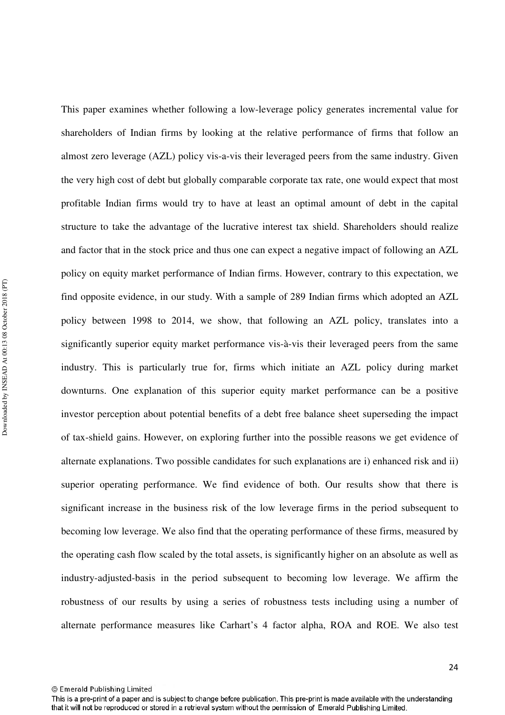This paper examines whether following a low-leverage policy generates incremental value for shareholders of Indian firms by looking at the relative performance of firms that follow an almost zero leverage (AZL) policy vis-a-vis their leveraged peers from the same industry. Given the very high cost of debt but globally comparable corporate tax rate, one would expect that most profitable Indian firms would try to have at least an optimal amount of debt in the capital structure to take the advantage of the lucrative interest tax shield. Shareholders should realize and factor that in the stock price and thus one can expect a negative impact of following an AZL policy on equity market performance of Indian firms. However, contrary to this expectation, we find opposite evidence, in our study. With a sample of 289 Indian firms which adopted an AZL policy between 1998 to 2014, we show, that following an AZL policy, translates into a significantly superior equity market performance vis-à-vis their leveraged peers from the same industry. This is particularly true for, firms which initiate an AZL policy during market downturns. One explanation of this superior equity market performance can be a positive investor perception about potential benefits of a debt free balance sheet superseding the impact of tax-shield gains. However, on exploring further into the possible reasons we get evidence of alternate explanations. Two possible candidates for such explanations are i) enhanced risk and ii) superior operating performance. We find evidence of both. Our results show that there is significant increase in the business risk of the low leverage firms in the period subsequent to becoming low leverage. We also find that the operating performance of these firms, measured by the operating cash flow scaled by the total assets, is significantly higher on an absolute as well as industry-adjusted-basis in the period subsequent to becoming low leverage. We affirm the robustness of our results by using a series of robustness tests including using a number of alternate performance measures like Carhart's 4 factor alpha, ROA and ROE. We also test

Downloaded by INSEAD At 00:13 08 October 2018 (PT) Downloaded by INSEAD At 00:13 08 October 2018 (PT)

This is a pre-print of a paper and is subject to change before publication. This pre-print is made available with the understanding that it will not be reproduced or stored in a retrieval system without the permission of Emerald Publishing Limited.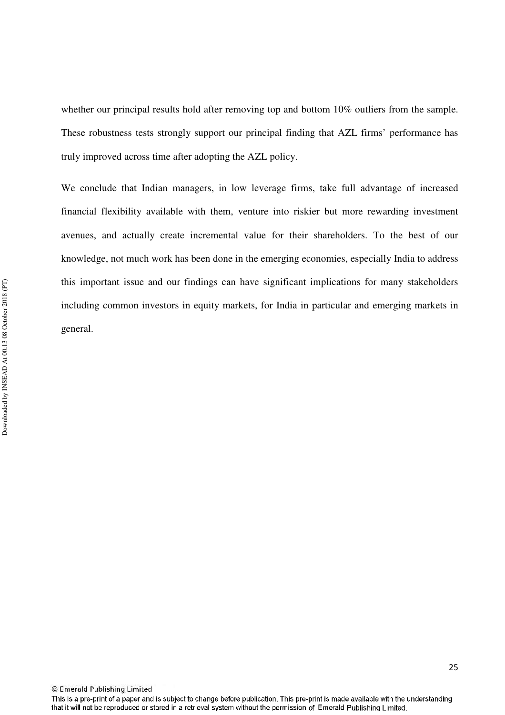whether our principal results hold after removing top and bottom 10% outliers from the sample. These robustness tests strongly support our principal finding that AZL firms' performance has truly improved across time after adopting the AZL policy.

We conclude that Indian managers, in low leverage firms, take full advantage of increased financial flexibility available with them, venture into riskier but more rewarding investment avenues, and actually create incremental value for their shareholders. To the best of our knowledge, not much work has been done in the emerging economies, especially India to address this important issue and our findings can have significant implications for many stakeholders including common investors in equity markets, for India in particular and emerging markets in general.

This is a pre-print of a paper and is subject to change before publication. This pre-print is made available with the understanding that it will not be reproduced or stored in a retrieval system without the permission of Emerald Publishing Limited.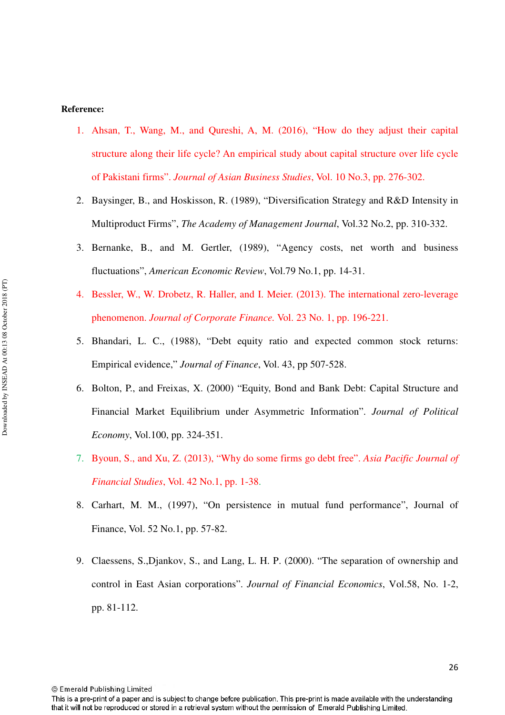#### **Reference:**

- 1. Ahsan, T., Wang, M., and Qureshi, A, M. (2016), "How do they adjust their capital structure along their life cycle? An empirical study about capital structure over life cycle of Pakistani firms". *Journal of Asian Business Studies*, Vol. 10 No.3, pp. 276-302.
- 2. Baysinger, B., and Hoskisson, R. (1989), "Diversification Strategy and R&D Intensity in Multiproduct Firms", *The Academy of Management Journal*, Vol.32 No.2, pp. 310-332.
- 3. Bernanke, B., and M. Gertler, (1989), "Agency costs, net worth and business fluctuations", *American Economic Review*, Vol.79 No.1, pp. 14-31.
- 4. Bessler, W., W. Drobetz, R. Haller, and I. Meier. (2013). The international zero-leverage phenomenon. *Journal of Corporate Finance.* Vol. 23 No. 1, pp. 196-221.
- 5. Bhandari, L. C., (1988), "Debt equity ratio and expected common stock returns: Empirical evidence," *Journal of Finance*, Vol. 43, pp 507-528.
- 6. Bolton, P., and Freixas, X. (2000) "Equity, Bond and Bank Debt: Capital Structure and Financial Market Equilibrium under Asymmetric Information". *Journal of Political Economy*, Vol.100, pp. 324-351.
- 7. Byoun, S., and Xu, Z. (2013), "Why do some firms go debt free". *Asia Pacific Journal of Financial Studies*, Vol. 42 No.1, pp. 1-38.
- 8. Carhart, M. M., (1997), "On persistence in mutual fund performance", Journal of Finance, Vol. 52 No.1, pp. 57-82.
- 9. Claessens, S.,Djankov, S., and Lang, L. H. P. (2000). "The separation of ownership and control in East Asian corporations". *Journal of Financial Economics*, Vol.58, No. 1-2, pp. 81-112.

This is a pre-print of a paper and is subject to change before publication. This pre-print is made available with the understanding that it will not be reproduced or stored in a retrieval system without the permission of Emerald Publishing Limited.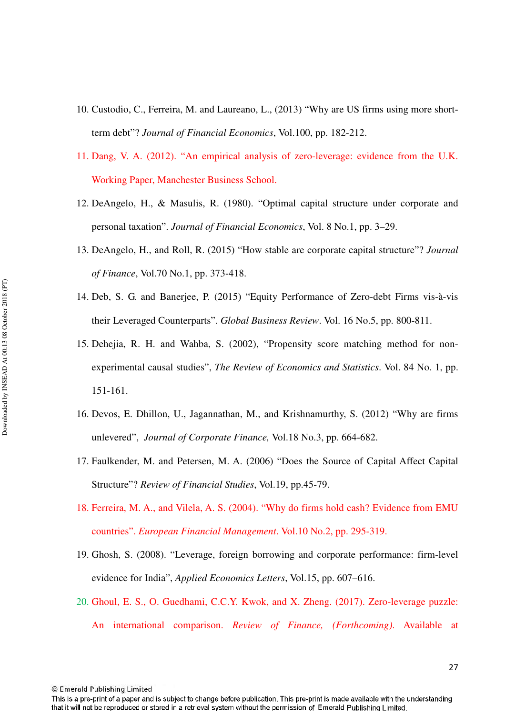- 10. Custodio, C., Ferreira, M. and Laureano, L., (2013) "Why are US firms using more shortterm debt"? *Journal of Financial Economics*, Vol.100, pp. 182-212.
- 11. Dang, V. A. (2012). "An empirical analysis of zero-leverage: evidence from the U.K. Working Paper, Manchester Business School.
- 12. DeAngelo, H., & Masulis, R. (1980). "Optimal capital structure under corporate and personal taxation". *Journal of Financial Economics*, Vol. 8 No.1, pp. 3–29.
- 13. DeAngelo, H., and Roll, R. (2015) "How stable are corporate capital structure"? *Journal of Finance*, Vol.70 No.1, pp. 373-418.
- 14. Deb, S. G. and Banerjee, P. (2015) "Equity Performance of Zero-debt Firms vis-à-vis their Leveraged Counterparts". *Global Business Review*. Vol. 16 No.5, pp. 800-811.
- 15. Dehejia, R. H. and Wahba, S. (2002), "Propensity score matching method for nonexperimental causal studies", *The Review of Economics and Statistics*. Vol. 84 No. 1, pp. 151-161.
- 16. Devos, E. Dhillon, U., Jagannathan, M., and Krishnamurthy, S. (2012) "Why are firms unlevered", *Journal of Corporate Finance,* Vol.18 No.3, pp. 664-682.
- 17. Faulkender, M. and Petersen, M. A. (2006) "Does the Source of Capital Affect Capital Structure"? *Review of Financial Studies*, Vol.19, pp.45-79.
- 18. Ferreira, M. A., and Vilela, A. S. (2004). "Why do firms hold cash? Evidence from EMU countries". *European Financial Management*. Vol.10 No.2, pp. 295-319.
- 19. Ghosh, S. (2008). "Leverage, foreign borrowing and corporate performance: firm-level evidence for India", *Applied Economics Letters*, Vol.15, pp. 607–616.
- 20. Ghoul, E. S., O. Guedhami, C.C.Y. Kwok, and X. Zheng. (2017). Zero-leverage puzzle: An international comparison. *Review of Finance, (Forthcoming)*. Available at

© Emerald Publishing Limited

27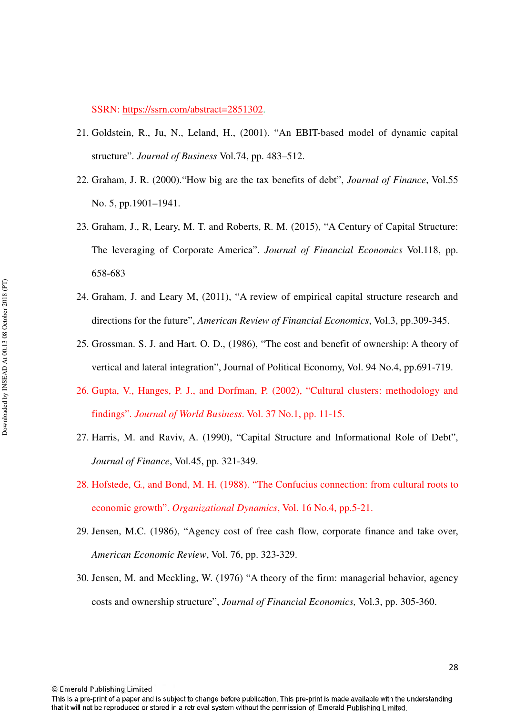SSRN: https://ssrn.com/abstract=2851302.

- 21. Goldstein, R., Ju, N., Leland, H., (2001). "An EBIT-based model of dynamic capital structure". *Journal of Business* Vol.74, pp. 483–512.
- 22. Graham, J. R. (2000)."How big are the tax benefits of debt", *Journal of Finance*, Vol.55 No. 5, pp.1901–1941.
- 23. Graham, J., R, Leary, M. T. and Roberts, R. M. (2015), "A Century of Capital Structure: The leveraging of Corporate America". *Journal of Financial Economics* Vol.118, pp. 658-683
- 24. Graham, J. and Leary M, (2011), "A review of empirical capital structure research and directions for the future", *American Review of Financial Economics*, Vol.3, pp.309-345.
- 25. Grossman. S. J. and Hart. O. D., (1986), "The cost and benefit of ownership: A theory of vertical and lateral integration", Journal of Political Economy, Vol. 94 No.4, pp.691-719.
- 26. Gupta, V., Hanges, P. J., and Dorfman, P. (2002), "Cultural clusters: methodology and findings". *Journal of World Business*. Vol. 37 No.1, pp. 11-15.
- 27. Harris, M. and Raviv, A. (1990), "Capital Structure and Informational Role of Debt", *Journal of Finance*, Vol.45, pp. 321-349.
- 28. Hofstede, G., and Bond, M. H. (1988). "The Confucius connection: from cultural roots to economic growth". *Organizational Dynamics*, Vol. 16 No.4, pp.5-21.
- 29. Jensen, M.C. (1986), "Agency cost of free cash flow, corporate finance and take over, *American Economic Review*, Vol. 76, pp. 323-329.
- 30. Jensen, M. and Meckling, W. (1976) "A theory of the firm: managerial behavior, agency costs and ownership structure", *Journal of Financial Economics,* Vol.3, pp. 305-360.

© Emerald Publishing Limited

28

This is a pre-print of a paper and is subject to change before publication. This pre-print is made available with the understanding that it will not be reproduced or stored in a retrieval system without the permission of Emerald Publishing Limited.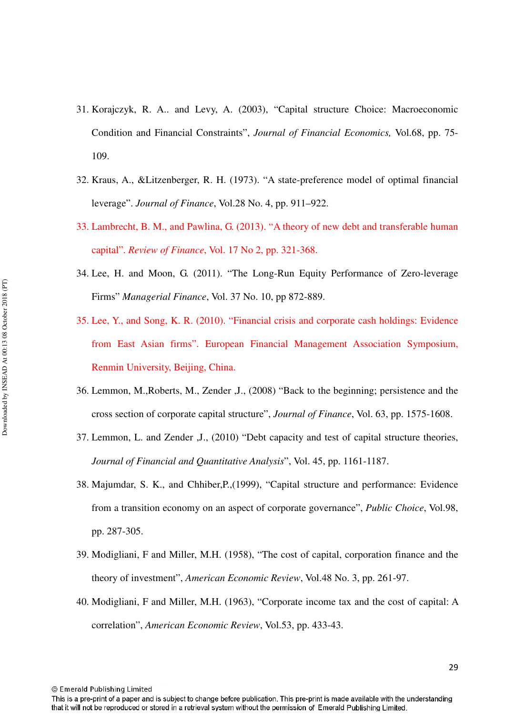- 31. Korajczyk, R. A.. and Levy, A. (2003), "Capital structure Choice: Macroeconomic Condition and Financial Constraints", *Journal of Financial Economics,* Vol.68, pp. 75- 109.
- 32. Kraus, A., &Litzenberger, R. H. (1973). "A state-preference model of optimal financial leverage". *Journal of Finance*, Vol.28 No. 4, pp. 911–922.
- 33. Lambrecht, B. M., and Pawlina, G. (2013). "A theory of new debt and transferable human capital". *Review of Finance*, Vol. 17 No 2, pp. 321-368.
- 34. Lee, H. and Moon, G. (2011). "The Long-Run Equity Performance of Zero-leverage Firms" *Managerial Finance*, Vol. 37 No. 10, pp 872-889.
- 35. Lee, Y., and Song, K. R. (2010). "Financial crisis and corporate cash holdings: Evidence from East Asian firms". European Financial Management Association Symposium, Renmin University, Beijing, China.
- 36. Lemmon, M.,Roberts, M., Zender ,J., (2008) "Back to the beginning; persistence and the cross section of corporate capital structure", *Journal of Finance*, Vol. 63, pp. 1575-1608.
- 37. Lemmon, L. and Zender ,J., (2010) "Debt capacity and test of capital structure theories, *Journal of Financial and Quantitative Analysis*", Vol. 45, pp. 1161-1187.
- 38. Majumdar, S. K., and Chhiber,P.,(1999), "Capital structure and performance: Evidence from a transition economy on an aspect of corporate governance", *Public Choice*, Vol.98, pp. 287-305.
- 39. Modigliani, F and Miller, M.H. (1958), "The cost of capital, corporation finance and the theory of investment", *American Economic Review*, Vol.48 No. 3, pp. 261-97.
- 40. Modigliani, F and Miller, M.H. (1963), "Corporate income tax and the cost of capital: A correlation", *American Economic Review*, Vol.53, pp. 433-43.

This is a pre-print of a paper and is subject to change before publication. This pre-print is made available with the understanding that it will not be reproduced or stored in a retrieval system without the permission of Emerald Publishing Limited.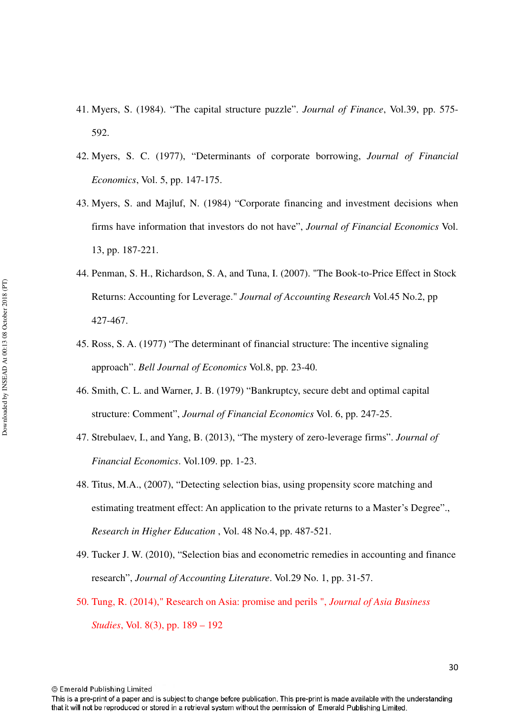- 41. Myers, S. (1984). "The capital structure puzzle". *Journal of Finance*, Vol.39, pp. 575- 592.
- 42. Myers, S. C. (1977), "Determinants of corporate borrowing, *Journal of Financial Economics*, Vol. 5, pp. 147-175.
- 43. Myers, S. and Majluf, N. (1984) "Corporate financing and investment decisions when firms have information that investors do not have", *Journal of Financial Economics* Vol. 13, pp. 187-221.
- 44. Penman, S. H., Richardson, S. A, and Tuna, I. (2007). "The Book-to-Price Effect in Stock Returns: Accounting for Leverage." *Journal of Accounting Research* Vol.45 No.2, pp 427-467.
- 45. Ross, S. A. (1977) "The determinant of financial structure: The incentive signaling approach". *Bell Journal of Economics* Vol.8, pp. 23-40.
- 46. Smith, C. L. and Warner, J. B. (1979) "Bankruptcy, secure debt and optimal capital structure: Comment", *Journal of Financial Economics* Vol. 6, pp. 247-25.
- 47. Strebulaev, I., and Yang, B. (2013), "The mystery of zero-leverage firms". *Journal of Financial Economics*. Vol.109. pp. 1-23.
- 48. Titus, M.A., (2007), "Detecting selection bias, using propensity score matching and estimating treatment effect: An application to the private returns to a Master's Degree"., *Research in Higher Education* , Vol. 48 No.4, pp. 487-521.
- 49. Tucker J. W. (2010), "Selection bias and econometric remedies in accounting and finance research", *Journal of Accounting Literature*. Vol.29 No. 1, pp. 31-57.
- 50. Tung, R. (2014)," Research on Asia: promise and perils ", *Journal of Asia Business Studies*, Vol. 8(3), pp. 189 – 192

© Emerald Publishing Limited

30

This is a pre-print of a paper and is subject to change before publication. This pre-print is made available with the understanding that it will not be reproduced or stored in a retrieval system without the permission of Emerald Publishing Limited.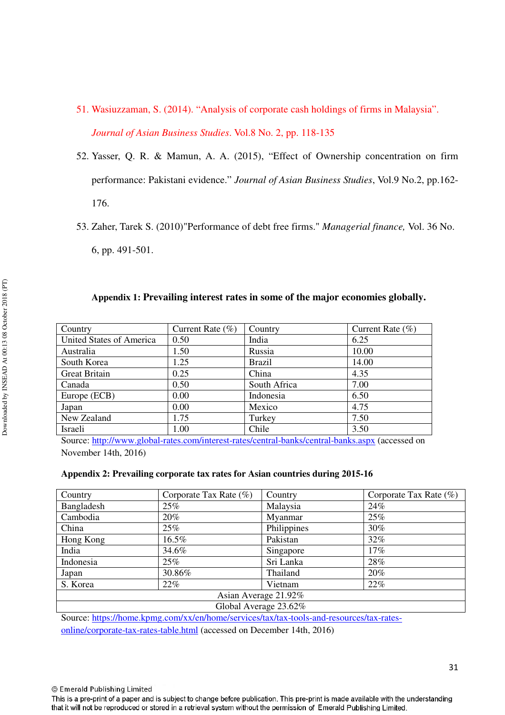- 51. Wasiuzzaman, S. (2014). "Analysis of corporate cash holdings of firms in Malaysia". *Journal of Asian Business Studies*. Vol.8 No. 2, pp. 118-135
- 52. Yasser, Q. R. & Mamun, A. A. (2015), "Effect of Ownership concentration on firm performance: Pakistani evidence." *Journal of Asian Business Studies*, Vol.9 No.2, pp.162- 176.
- 53. Zaher, Tarek S. (2010)"Performance of debt free firms." *Managerial finance,* Vol. 36 No. 6, pp. 491-501.

## **Appendix 1: Prevailing interest rates in some of the major economies globally.**

| Country                  | Current Rate $(\% )$ | Country       | Current Rate $(\% )$ |
|--------------------------|----------------------|---------------|----------------------|
| United States of America | 0.50                 | India         | 6.25                 |
| Australia                | 1.50                 | Russia        | 10.00                |
| South Korea              | 1.25                 | <b>Brazil</b> | 14.00                |
| <b>Great Britain</b>     | 0.25                 | China         | 4.35                 |
| Canada                   | 0.50                 | South Africa  | 7.00                 |
| Europe (ECB)             | 0.00                 | Indonesia     | 6.50                 |
| Japan                    | 0.00                 | Mexico        | 4.75                 |
| New Zealand              | 1.75                 | Turkey        | 7.50                 |
| Israeli                  | 1.00                 | Chile         | 3.50                 |

Source: http://www.global-rates.com/interest-rates/central-banks/central-banks.aspx (accessed on November 14th, 2016)

#### **Appendix 2: Prevailing corporate tax rates for Asian countries during 2015-16**

| Country    | Corporate Tax Rate $(\%)$ | Country               | Corporate Tax Rate $(\%)$ |
|------------|---------------------------|-----------------------|---------------------------|
| Bangladesh | 25%                       | Malaysia              | 24%                       |
| Cambodia   | 20%                       | Myanmar               | 25%                       |
| China      | 25%                       | Philippines           | 30%                       |
| Hong Kong  | 16.5%                     | Pakistan              | 32%                       |
| India      | 34.6%                     | Singapore             | 17%                       |
| Indonesia  | 25%                       | Sri Lanka             | 28%                       |
| Japan      | 30.86%                    | Thailand              | 20%                       |
| S. Korea   | 22%                       | Vietnam               | 22%                       |
|            |                           | Asian Average 21.92%  |                           |
|            |                           | Global Average 23.62% |                           |

Source: https://home.kpmg.com/xx/en/home/services/tax/tax-tools-and-resources/tax-ratesonline/corporate-tax-rates-table.html (accessed on December 14th, 2016)

© Emerald Publishing Limited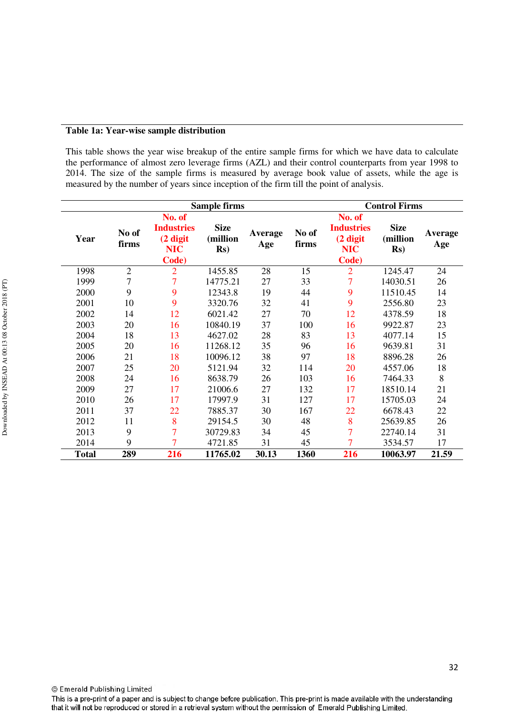#### **Table 1a: Year-wise sample distribution**

This table shows the year wise breakup of the entire sample firms for which we have data to calculate the performance of almost zero leverage firms (AZL) and their control counterparts from year 1998 to 2014. The size of the sample firms is measured by average book value of assets, while the age is measured by the number of years since inception of the firm till the point of analysis.

| <b>Sample firms</b> |                |                                                                |                                           |                |                | <b>Control Firms</b>                                           |                                          |                |
|---------------------|----------------|----------------------------------------------------------------|-------------------------------------------|----------------|----------------|----------------------------------------------------------------|------------------------------------------|----------------|
| Year                | No of<br>firms | No. of<br><b>Industries</b><br>(2 digit<br><b>NIC</b><br>Code) | <b>Size</b><br>(million<br>$\mathbf{Rs})$ | Average<br>Age | No of<br>firms | No. of<br><b>Industries</b><br>(2 digit<br><b>NIC</b><br>Code) | <b>Size</b><br>(million<br>$\mathbf{Rs}$ | Average<br>Age |
| 1998                | $\overline{2}$ | $\overline{2}$                                                 | 1455.85                                   | 28             | 15             | $\overline{2}$                                                 | 1245.47                                  | 24             |
| 1999                | $\tau$         | $\overline{7}$                                                 | 14775.21                                  | 27             | 33             | $\overline{7}$                                                 | 14030.51                                 | 26             |
| 2000                | 9              | 9                                                              | 12343.8                                   | 19             | 44             | 9                                                              | 11510.45                                 | 14             |
| 2001                | 10             | 9                                                              | 3320.76                                   | 32             | 41             | 9                                                              | 2556.80                                  | 23             |
| 2002                | 14             | 12                                                             | 6021.42                                   | 27             | 70             | 12                                                             | 4378.59                                  | 18             |
| 2003                | 20             | 16                                                             | 10840.19                                  | 37             | 100            | 16                                                             | 9922.87                                  | 23             |
| 2004                | 18             | 13                                                             | 4627.02                                   | 28             | 83             | 13                                                             | 4077.14                                  | 15             |
| 2005                | 20             | 16                                                             | 11268.12                                  | 35             | 96             | 16                                                             | 9639.81                                  | 31             |
| 2006                | 21             | 18                                                             | 10096.12                                  | 38             | 97             | 18                                                             | 8896.28                                  | 26             |
| 2007                | 25             | 20                                                             | 5121.94                                   | 32             | 114            | 20                                                             | 4557.06                                  | 18             |
| 2008                | 24             | 16                                                             | 8638.79                                   | 26             | 103            | 16                                                             | 7464.33                                  | 8              |
| 2009                | 27             | 17                                                             | 21006.6                                   | 27             | 132            | 17                                                             | 18510.14                                 | 21             |
| 2010                | 26             | 17                                                             | 17997.9                                   | 31             | 127            | 17                                                             | 15705.03                                 | 24             |
| 2011                | 37             | 22                                                             | 7885.37                                   | 30             | 167            | 22                                                             | 6678.43                                  | 22             |
| 2012                | 11             | 8                                                              | 29154.5                                   | 30             | 48             | 8                                                              | 25639.85                                 | 26             |
| 2013                | 9              | 7                                                              | 30729.83                                  | 34             | 45             | 7                                                              | 22740.14                                 | 31             |
| 2014                | 9              | 7                                                              | 4721.85                                   | 31             | 45             | 7                                                              | 3534.57                                  | 17             |
| <b>Total</b>        | 289            | 216                                                            | 11765.02                                  | 30.13          | 1360           | 216                                                            | 10063.97                                 | 21.59          |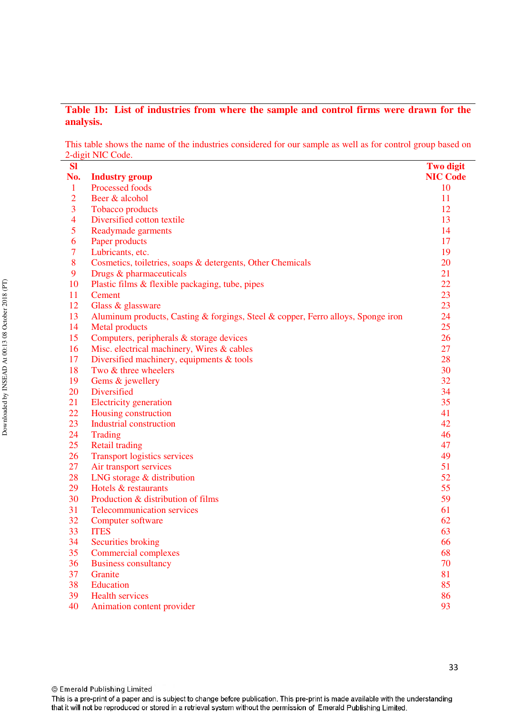# **Table 1b: List of industries from where the sample and control firms were drawn for the analysis.**

This table shows the name of the industries considered for our sample as well as for control group based on 2-digit NIC Code.

| <b>Sl</b>      |                                                                                  | <b>Two digit</b> |
|----------------|----------------------------------------------------------------------------------|------------------|
| No.            | <b>Industry group</b>                                                            | <b>NIC Code</b>  |
| $\mathbf{1}$   | Processed foods                                                                  | 10               |
| $\overline{2}$ | Beer & alcohol                                                                   | 11               |
| 3              | <b>Tobacco</b> products                                                          | 12               |
| $\overline{4}$ | Diversified cotton textile                                                       | 13               |
| 5              | Readymade garments                                                               | 14               |
| 6              | Paper products                                                                   | 17               |
| $\overline{7}$ | Lubricants, etc.                                                                 | 19               |
| 8              | Cosmetics, toiletries, soaps & detergents, Other Chemicals                       | 20               |
| 9              | Drugs & pharmaceuticals                                                          | 21               |
| 10             | Plastic films & flexible packaging, tube, pipes                                  | 22               |
| 11             | Cement                                                                           | 23               |
| 12             | Glass & glassware                                                                | 23               |
| 13             | Aluminum products, Casting & forgings, Steel & copper, Ferro alloys, Sponge iron | 24               |
| 14             | <b>Metal products</b>                                                            | 25               |
| 15             | Computers, peripherals & storage devices                                         | 26               |
| 16             | Misc. electrical machinery, Wires & cables                                       | 27               |
| 17             | Diversified machinery, equipments $&$ tools                                      | 28               |
| 18             | Two & three wheelers                                                             | 30               |
| 19             | Gems & jewellery                                                                 | 32               |
| 20             | Diversified                                                                      | 34               |
| 21             | <b>Electricity</b> generation                                                    | 35               |
| 22             | Housing construction                                                             | 41               |
| 23             | <b>Industrial construction</b>                                                   | 42               |
| 24             | <b>Trading</b>                                                                   | 46               |
| 25             | <b>Retail trading</b>                                                            | 47               |
| 26             | <b>Transport logistics services</b>                                              | 49               |
| 27             | Air transport services                                                           | 51               |
| 28             | LNG storage & distribution                                                       | 52               |
| 29             | Hotels & restaurants                                                             | 55               |
| 30             | Production & distribution of films                                               | 59               |
| 31             | <b>Telecommunication services</b>                                                | 61               |
| 32             | Computer software                                                                | 62               |
| 33             | <b>ITES</b>                                                                      | 63               |
| 34             | <b>Securities broking</b>                                                        | 66               |
| 35             | <b>Commercial complexes</b>                                                      | 68               |
| 36             | <b>Business consultancy</b>                                                      | 70               |
| 37             | Granite                                                                          | 81               |
| 38             | Education                                                                        | 85               |
| 39             | <b>Health services</b>                                                           | 86               |
| 40             | Animation content provider                                                       | 93               |

Downloaded by INSEAD At 00:13 08 October 2018 (PT) Downloaded by INSEAD At 00:13 08 October 2018 (PT)

33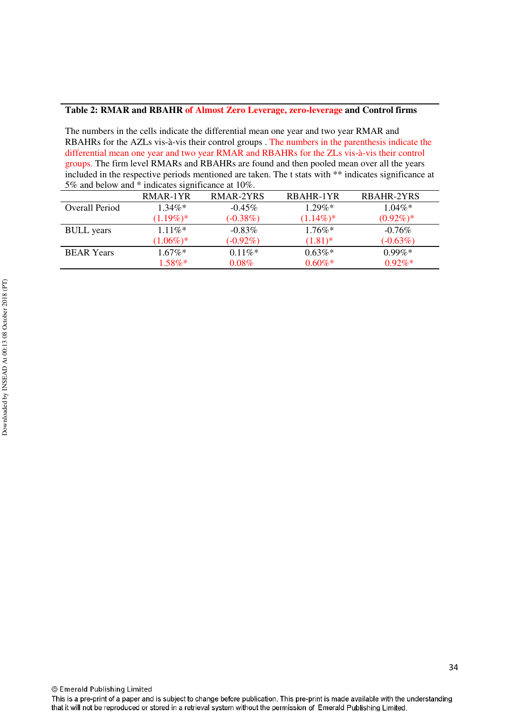#### **Table 2: RMAR and RBAHR of Almost Zero Leverage, zero-leverage and Control firms**

The numbers in the cells indicate the differential mean one year and two year RMAR and RBAHRs for the AZLs vis-à-vis their control groups . The numbers in the parenthesis indicate the differential mean one year and two year RMAR and RBAHRs for the ZLs vis-à-vis their control groups. The firm level RMARs and RBAHRs are found and then pooled mean over all the years included in the respective periods mentioned are taken. The t stats with \*\* indicates significance at 5% and below and \* indicates significance at 10%.

|                   | RMAR-1YR    | RMAR-2YRS   | RBAHR-1YR   | RBAHR-2YRS  |
|-------------------|-------------|-------------|-------------|-------------|
| Overall Period    | $1.34\%*$   | $-0.45\%$   | $1.29\%*$   | $1.04\%*$   |
|                   | $(1.19\%)*$ | $(-0.38\%)$ | $(1.14\%)*$ | $(0.92\%)*$ |
| <b>BULL</b> years | $1.11\%*$   | $-0.83\%$   | $1.76\%*$   | $-0.76\%$   |
|                   | $(1.06\%)*$ | $(-0.92\%)$ | $(1.81)$ *  | $(-0.63\%)$ |
| <b>BEAR Years</b> | $1.67\%*$   | $0.11\%$ *  | $0.63\%*$   | $0.99\%*$   |
|                   | $1.58\%*$   | $0.08\%$    | $0.60\%$ *  | $0.92\%*$   |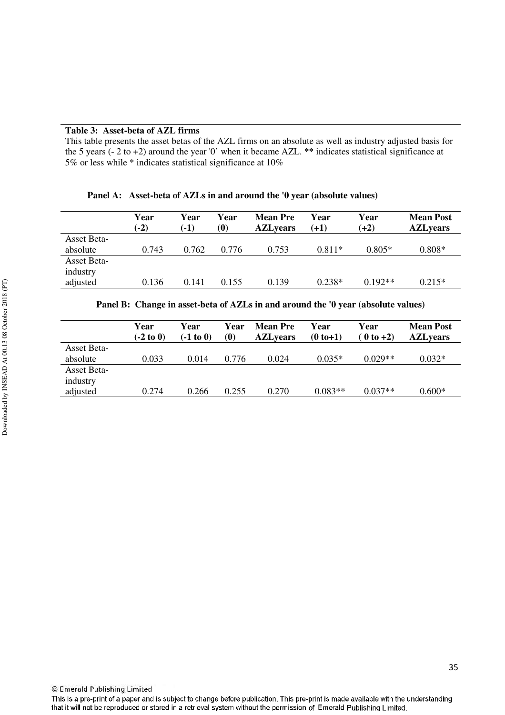#### **Table 3: Asset-beta of AZL firms**

This table presents the asset betas of the AZL firms on an absolute as well as industry adjusted basis for the 5 years (- 2 to +2) around the year '0' when it became AZL. **\*\*** indicates statistical significance at 5% or less while \* indicates statistical significance at 10%

|                    | Year<br>$(-2)$ | Year<br>$(-1)$ | Year<br>(0) | <b>Mean Pre</b><br><b>AZLyears</b> | Year<br>$(+1)$ | Year<br>$(+2)$ | <b>Mean Post</b><br><b>AZLyears</b> |
|--------------------|----------------|----------------|-------------|------------------------------------|----------------|----------------|-------------------------------------|
| <b>Asset Beta-</b> |                |                |             |                                    |                |                |                                     |
| absolute           | 0.743          | 0.762          | 0.776       | 0.753                              | $0.811*$       | $0.805*$       | $0.808*$                            |
| <b>Asset Beta-</b> |                |                |             |                                    |                |                |                                     |
| industry           |                |                |             |                                    |                |                |                                     |
| adjusted           | 0.136          | 0.141          | 0.155       | 0.139                              | $0.238*$       | $0.192**$      | $0.215*$                            |

**Panel A: Asset-beta of AZLs in and around the '0 year (absolute values)** 

|  |  |  |  |  |  |  |  |  | Panel B: Change in asset-beta of AZLs in and around the '0 year (absolute values) |  |
|--|--|--|--|--|--|--|--|--|-----------------------------------------------------------------------------------|--|
|--|--|--|--|--|--|--|--|--|-----------------------------------------------------------------------------------|--|

|                    | Year<br>$(-2 \text{ to } 0)$ | Year<br>(-1 to 0) | Year<br>$\boldsymbol{0}$ | <b>Mean Pre</b><br><b>AZLyears</b> | Year<br>$(0 to +1)$ | Year<br>$(0 to +2)$ | <b>Mean Post</b><br><b>AZLyears</b> |
|--------------------|------------------------------|-------------------|--------------------------|------------------------------------|---------------------|---------------------|-------------------------------------|
| <b>Asset Beta-</b> |                              |                   |                          |                                    |                     |                     |                                     |
| absolute           | 0.033                        | 0.014             | 0.776                    | 0.024                              | $0.035*$            | $0.029**$           | $0.032*$                            |
| <b>Asset Beta-</b> |                              |                   |                          |                                    |                     |                     |                                     |
| industry           |                              |                   |                          |                                    |                     |                     |                                     |
| adjusted           | 0.274                        | 0.266             | 0.255                    | 0.270                              | $0.083**$           | $0.037**$           | $0.600*$                            |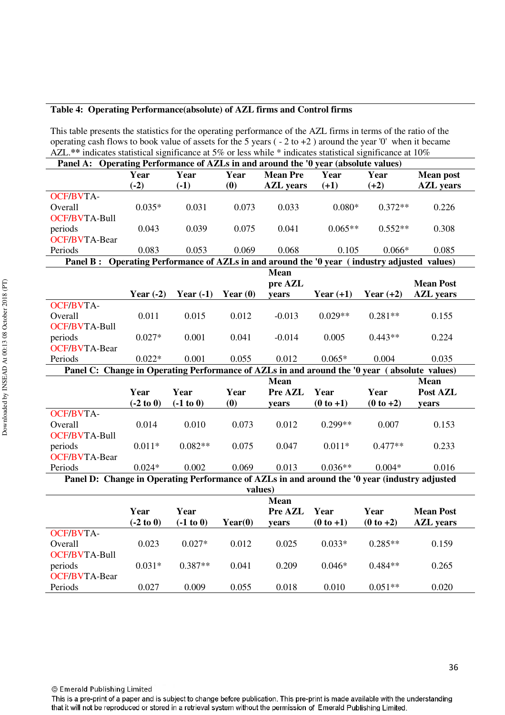## **Table 4: Operating Performance(absolute) of AZL firms and Control firms**

This table presents the statistics for the operating performance of the AZL firms in terms of the ratio of the operating cash flows to book value of assets for the 5 years ( - 2 to +2 ) around the year '0' when it became AZL.**\*\*** indicates statistical significance at 5% or less while \* indicates statistical significance at 10%

| Panel A: Operating Performance of AZLs in and around the '0 year (absolute values)            |             |             |            |                  |             |             |                  |  |  |  |
|-----------------------------------------------------------------------------------------------|-------------|-------------|------------|------------------|-------------|-------------|------------------|--|--|--|
|                                                                                               | Year        | Year        | Year       | <b>Mean Pre</b>  | Year        | Year        | <b>Mean post</b> |  |  |  |
|                                                                                               | $(-2)$      | $(-1)$      | (0)        | <b>AZL</b> years | $(+1)$      | $(+2)$      | <b>AZL</b> years |  |  |  |
| <b>OCF/BVTA-</b>                                                                              |             |             |            |                  |             |             |                  |  |  |  |
| Overall                                                                                       | $0.035*$    | 0.031       | 0.073      | 0.033            | $0.080*$    | $0.372**$   | 0.226            |  |  |  |
| <b>OCF/BVTA-Bull</b>                                                                          |             |             |            |                  |             |             |                  |  |  |  |
| periods                                                                                       | 0.043       | 0.039       | 0.075      | 0.041            | $0.065**$   | $0.552**$   | 0.308            |  |  |  |
| <b>OCF/BVTA-Bear</b>                                                                          |             |             |            |                  |             |             |                  |  |  |  |
| Periods                                                                                       | 0.083       | 0.053       | 0.069      | 0.068            | 0.105       | $0.066*$    | 0.085            |  |  |  |
| Panel B: Operating Performance of AZLs in and around the '0 year (industry adjusted values)   |             |             |            |                  |             |             |                  |  |  |  |
|                                                                                               |             |             |            | <b>Mean</b>      |             |             |                  |  |  |  |
|                                                                                               |             |             |            | pre AZL          |             |             | <b>Mean Post</b> |  |  |  |
|                                                                                               | Year $(-2)$ | Year $(-1)$ | Year $(0)$ | years            | Year $(+1)$ | Year $(+2)$ | <b>AZL</b> years |  |  |  |
| <b>OCF/BVTA-</b>                                                                              |             |             |            |                  |             |             |                  |  |  |  |
| Overall                                                                                       | 0.011       | 0.015       | 0.012      | $-0.013$         | $0.029**$   | $0.281**$   | 0.155            |  |  |  |
| <b>OCF/BVTA-Bull</b>                                                                          |             |             |            |                  |             |             |                  |  |  |  |
| periods                                                                                       | $0.027*$    | 0.001       | 0.041      | $-0.014$         | 0.005       | $0.443**$   | 0.224            |  |  |  |
| <b>OCF/BVTA-Bear</b>                                                                          |             |             |            |                  |             |             |                  |  |  |  |
| Periods                                                                                       | $0.022*$    | 0.001       | 0.055      | 0.012            | $0.065*$    | 0.004       | 0.035            |  |  |  |
| Panel C: Change in Operating Performance of AZLs in and around the '0 year (absolute values)  |             |             |            |                  |             |             |                  |  |  |  |
| <b>Mean</b><br><b>Mean</b>                                                                    |             |             |            |                  |             |             |                  |  |  |  |
|                                                                                               |             |             |            |                  |             |             |                  |  |  |  |
|                                                                                               | Year        | Year        | Year       | Pre AZL          | Year        | Year        | Post AZL         |  |  |  |
|                                                                                               | $(-2 to 0)$ | $(-1 to 0)$ | (0)        | years            | $(0 to +1)$ | $(0 to +2)$ | years            |  |  |  |
| <b>OCF/BVTA-</b>                                                                              |             |             |            |                  |             |             |                  |  |  |  |
| Overall                                                                                       | 0.014       | 0.010       | 0.073      | 0.012            | $0.299**$   | 0.007       | 0.153            |  |  |  |
| <b>OCF/BVTA-Bull</b>                                                                          |             |             |            |                  |             |             |                  |  |  |  |
| periods                                                                                       | $0.011*$    | $0.082**$   | 0.075      | 0.047            | $0.011*$    | $0.477**$   | 0.233            |  |  |  |
| <b>OCF/BVTA-Bear</b>                                                                          |             |             |            |                  |             |             |                  |  |  |  |
| Periods                                                                                       | $0.024*$    | 0.002       | 0.069      | 0.013            | $0.036**$   | $0.004*$    | 0.016            |  |  |  |
| Panel D: Change in Operating Performance of AZLs in and around the '0 year (industry adjusted |             |             |            |                  |             |             |                  |  |  |  |
|                                                                                               |             |             |            | values)          |             |             |                  |  |  |  |
|                                                                                               |             |             |            | <b>Mean</b>      |             |             |                  |  |  |  |
|                                                                                               | Year        | Year        |            | Pre AZL          | Year        | Year        | <b>Mean Post</b> |  |  |  |
|                                                                                               | $(-2 to 0)$ | $(-1 to 0)$ | Year(0)    | years            | $(0 to +1)$ | $(0 to +2)$ | <b>AZL</b> years |  |  |  |
| <b>OCF/BVTA-</b>                                                                              |             |             |            |                  |             |             |                  |  |  |  |
| Overall                                                                                       | 0.023       | $0.027*$    | 0.012      | 0.025            | $0.033*$    | $0.285**$   | 0.159            |  |  |  |
| <b>OCF/BVTA-Bull</b>                                                                          |             |             |            |                  |             |             |                  |  |  |  |
| periods                                                                                       | $0.031*$    | $0.387**$   | 0.041      | 0.209            | $0.046*$    | $0.484**$   | 0.265            |  |  |  |
| <b>OCF/BVTA-Bear</b><br>Periods                                                               | 0.027       | 0.009       | 0.055      | 0.018            | 0.010       | $0.051**$   | 0.020            |  |  |  |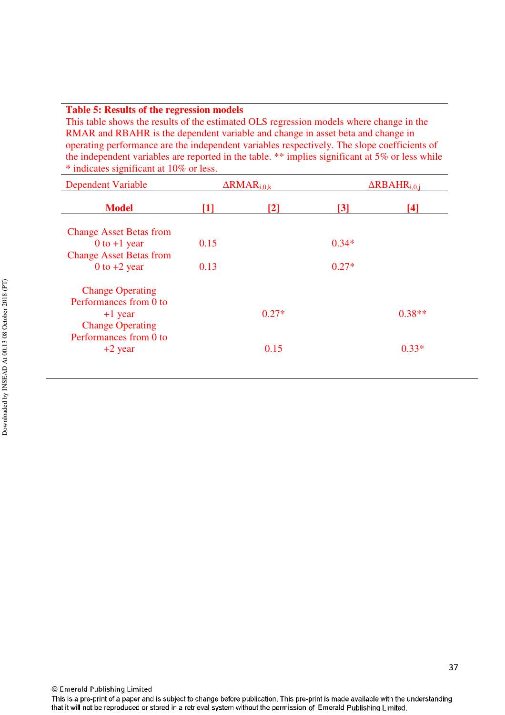#### **Table 5: Results of the regression models**

This table shows the results of the estimated OLS regression models where change in the RMAR and RBAHR is the dependent variable and change in asset beta and change in operating performance are the independent variables respectively. The slope coefficients of the independent variables are reported in the table. \*\* implies significant at 5% or less while \* indicates significant at 10% or less.

| <b>Dependent Variable</b>      |       | $\Delta$ RMAR <sub>i.0.k</sub> |         | $\Delta$ RBAHR <sub>i.0.i</sub> |
|--------------------------------|-------|--------------------------------|---------|---------------------------------|
| <b>Model</b>                   | $[1]$ | $[2]$                          | [3]     | $[4]$                           |
| <b>Change Asset Betas from</b> |       |                                |         |                                 |
| 0 to $+1$ year                 | 0.15  |                                | $0.34*$ |                                 |
| <b>Change Asset Betas from</b> |       |                                |         |                                 |
| 0 to $+2$ year                 | 0.13  |                                | $0.27*$ |                                 |
| <b>Change Operating</b>        |       |                                |         |                                 |
| Performances from 0 to         |       |                                |         |                                 |
| $+1$ year                      |       | $0.27*$                        |         | $0.38**$                        |
| <b>Change Operating</b>        |       |                                |         |                                 |
| Performances from 0 to         |       |                                |         |                                 |
| $+2$ year                      |       | 0.15                           |         | $0.33*$                         |
|                                |       |                                |         |                                 |